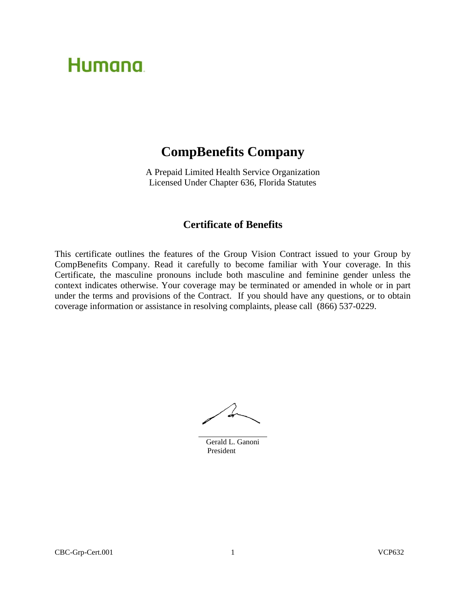# **Humana**

# **CompBenefits Company**

A Prepaid Limited Health Service Organization Licensed Under Chapter 636, Florida Statutes

# **Certificate of Benefits**

This certificate outlines the features of the Group Vision Contract issued to your Group by CompBenefits Company. Read it carefully to become familiar with Your coverage. In this Certificate, the masculine pronouns include both masculine and feminine gender unless the context indicates otherwise. Your coverage may be terminated or amended in whole or in part under the terms and provisions of the Contract. If you should have any questions, or to obtain coverage information or assistance in resolving complaints, please call (866) 537-0229.

Gerald L. Ganoni President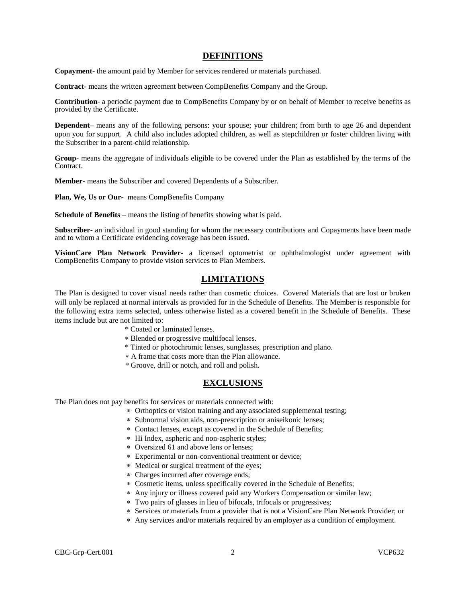# **DEFINITIONS**

**Copayment**- the amount paid by Member for services rendered or materials purchased.

**Contract-** means the written agreement between CompBenefits Company and the Group.

**Contribution**- a periodic payment due to CompBenefits Company by or on behalf of Member to receive benefits as provided by the Certificate.

**Dependent–** means any of the following persons: your spouse; your children; from birth to age 26 and dependent upon you for support. A child also includes adopted children, as well as stepchildren or foster children living with the Subscriber in a parent-child relationship.

**Group**- means the aggregate of individuals eligible to be covered under the Plan as established by the terms of the Contract.

**Member**- means the Subscriber and covered Dependents of a Subscriber.

Plan, We, Us or Our- means CompBenefits Company

**Schedule of Benefits** – means the listing of benefits showing what is paid.

**Subscriber-** an individual in good standing for whom the necessary contributions and Copayments have been made and to whom a Certificate evidencing coverage has been issued.

**VisionCare Plan Network Provider**- a licensed optometrist or ophthalmologist under agreement with CompBenefits Company to provide vision services to Plan Members.

# **LIMITATIONS**

The Plan is designed to cover visual needs rather than cosmetic choices. Covered Materials that are lost or broken will only be replaced at normal intervals as provided for in the Schedule of Benefits. The Member is responsible for the following extra items selected, unless otherwise listed as a covered benefit in the Schedule of Benefits. These items include but are not limited to:

- \* Coated or laminated lenses.
- Blended or progressive multifocal lenses.
- \* Tinted or photochromic lenses, sunglasses, prescription and plano.
- A frame that costs more than the Plan allowance.
- \* Groove, drill or notch, and roll and polish.

# **EXCLUSIONS**

The Plan does not pay benefits for services or materials connected with:

- Orthoptics or vision training and any associated supplemental testing;
- Subnormal vision aids, non-prescription or aniseikonic lenses;
- Contact lenses, except as covered in the Schedule of Benefits;
- Hi Index, aspheric and non-aspheric styles;
- Oversized 61 and above lens or lenses;
- Experimental or non-conventional treatment or device;
- Medical or surgical treatment of the eyes;
- Charges incurred after coverage ends;
- Cosmetic items, unless specifically covered in the Schedule of Benefits;
- Any injury or illness covered paid any Workers Compensation or similar law;
- Two pairs of glasses in lieu of bifocals, trifocals or progressives;
- Services or materials from a provider that is not a VisionCare Plan Network Provider; or
- Any services and/or materials required by an employer as a condition of employment.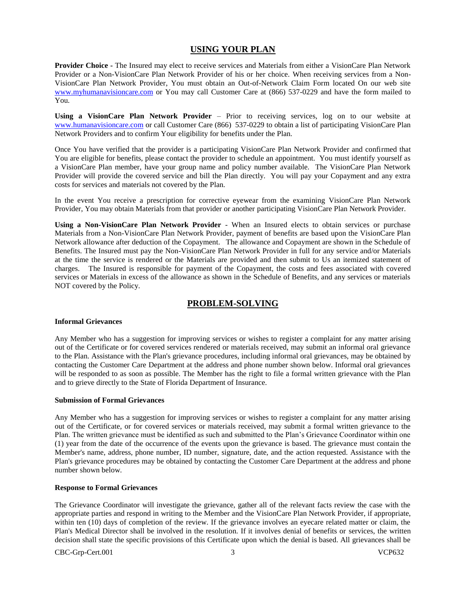# **USING YOUR PLAN**

**Provider Choice -** The Insured may elect to receive services and Materials from either a VisionCare Plan Network Provider or a Non-VisionCare Plan Network Provider of his or her choice. When receiving services from a Non-VisionCare Plan Network Provider, You must obtain an Out-of-Network Claim Form located On our web site [www.myhumanavisioncare.com](http://www.myhumanavisioncare.com/) or You may call Customer Care at (866) 537-0229 and have the form mailed to You.

**Using a VisionCare Plan Network Provider** – Prior to receiving services, log on to our website at [www.humanavisioncare.com](http://www.humanavisioncare.com/) or call Customer Care (866) 537-0229 to obtain a list of participating VisionCare Plan Network Providers and to confirm Your eligibility for benefits under the Plan.

Once You have verified that the provider is a participating VisionCare Plan Network Provider and confirmed that You are eligible for benefits, please contact the provider to schedule an appointment. You must identify yourself as a VisionCare Plan member, have your group name and policy number available. The VisionCare Plan Network Provider will provide the covered service and bill the Plan directly. You will pay your Copayment and any extra costs for services and materials not covered by the Plan.

In the event You receive a prescription for corrective eyewear from the examining VisionCare Plan Network Provider, You may obtain Materials from that provider or another participating VisionCare Plan Network Provider.

**Using a Non-VisionCare Plan Network Provider** - When an Insured elects to obtain services or purchase Materials from a Non-VisionCare Plan Network Provider, payment of benefits are based upon the VisionCare Plan Network allowance after deduction of the Copayment. The allowance and Copayment are shown in the Schedule of Benefits. The Insured must pay the Non-VisionCare Plan Network Provider in full for any service and/or Materials at the time the service is rendered or the Materials are provided and then submit to Us an itemized statement of charges. The Insured is responsible for payment of the Copayment, the costs and fees associated with covered services or Materials in excess of the allowance as shown in the Schedule of Benefits, and any services or materials NOT covered by the Policy.

# **PROBLEM-SOLVING**

### **Informal Grievances**

Any Member who has a suggestion for improving services or wishes to register a complaint for any matter arising out of the Certificate or for covered services rendered or materials received, may submit an informal oral grievance to the Plan. Assistance with the Plan's grievance procedures, including informal oral grievances, may be obtained by contacting the Customer Care Department at the address and phone number shown below. Informal oral grievances will be responded to as soon as possible. The Member has the right to file a formal written grievance with the Plan and to grieve directly to the State of Florida Department of Insurance.

### **Submission of Formal Grievances**

Any Member who has a suggestion for improving services or wishes to register a complaint for any matter arising out of the Certificate, or for covered services or materials received, may submit a formal written grievance to the Plan. The written grievance must be identified as such and submitted to the Plan's Grievance Coordinator within one (1) year from the date of the occurrence of the events upon the grievance is based. The grievance must contain the Member's name, address, phone number, ID number, signature, date, and the action requested. Assistance with the Plan's grievance procedures may be obtained by contacting the Customer Care Department at the address and phone number shown below.

### **Response to Formal Grievances**

The Grievance Coordinator will investigate the grievance, gather all of the relevant facts review the case with the appropriate parties and respond in writing to the Member and the VisionCare Plan Network Provider, if appropriate, within ten (10) days of completion of the review. If the grievance involves an eyecare related matter or claim, the Plan's Medical Director shall be involved in the resolution. If it involves denial of benefits or services, the written decision shall state the specific provisions of this Certificate upon which the denial is based. All grievances shall be

CBC-Grp-Cert.001 3 VCP632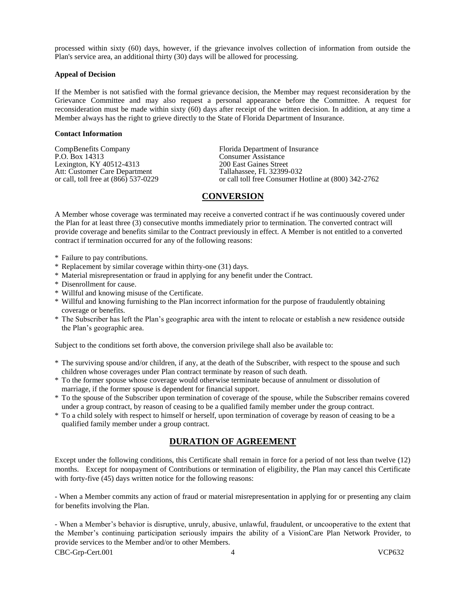processed within sixty (60) days, however, if the grievance involves collection of information from outside the Plan's service area, an additional thirty (30) days will be allowed for processing.

### **Appeal of Decision**

If the Member is not satisfied with the formal grievance decision, the Member may request reconsideration by the Grievance Committee and may also request a personal appearance before the Committee. A request for reconsideration must be made within sixty (60) days after receipt of the written decision. In addition, at any time a Member always has the right to grieve directly to the State of Florida Department of Insurance.

#### **Contact Information**

CompBenefits Company<br>
P.O. Box 14313<br>
Consumer Assistance<br>
Consumer Assistance Lexington, KY 40512-4313<br>
Att: Customer Care Department<br>
Tallahassee, FL 32399-032 Att: Customer Care Department<br>or call, toll free at  $(866)$  537-0229

**Consumer Assistance**<br>200 East Gaines Street or call toll free Consumer Hotline at (800) 342-2762

# **CONVERSION**

A Member whose coverage was terminated may receive a converted contract if he was continuously covered under the Plan for at least three (3) consecutive months immediately prior to termination. The converted contract will provide coverage and benefits similar to the Contract previously in effect. A Member is not entitled to a converted contract if termination occurred for any of the following reasons:

- \* Failure to pay contributions.
- \* Replacement by similar coverage within thirty-one (31) days.
- \* Material misrepresentation or fraud in applying for any benefit under the Contract.
- \* Disenrollment for cause.
- \* Willful and knowing misuse of the Certificate.
- \* Willful and knowing furnishing to the Plan incorrect information for the purpose of fraudulently obtaining coverage or benefits.
- \* The Subscriber has left the Plan's geographic area with the intent to relocate or establish a new residence outside the Plan's geographic area.

Subject to the conditions set forth above, the conversion privilege shall also be available to:

- \* The surviving spouse and/or children, if any, at the death of the Subscriber, with respect to the spouse and such children whose coverages under Plan contract terminate by reason of such death.
- \* To the former spouse whose coverage would otherwise terminate because of annulment or dissolution of marriage, if the former spouse is dependent for financial support.
- \* To the spouse of the Subscriber upon termination of coverage of the spouse, while the Subscriber remains covered under a group contract, by reason of ceasing to be a qualified family member under the group contract.
- \* To a child solely with respect to himself or herself, upon termination of coverage by reason of ceasing to be a qualified family member under a group contract.

# **DURATION OF AGREEMENT**

Except under the following conditions, this Certificate shall remain in force for a period of not less than twelve (12) months. Except for nonpayment of Contributions or termination of eligibility, the Plan may cancel this Certificate with forty-five (45) days written notice for the following reasons:

- When a Member commits any action of fraud or material misrepresentation in applying for or presenting any claim for benefits involving the Plan.

CBC-Grp-Cert.001 4 VCP632 - When a Member's behavior is disruptive, unruly, abusive, unlawful, fraudulent, or uncooperative to the extent that the Member's continuing participation seriously impairs the ability of a VisionCare Plan Network Provider, to provide services to the Member and/or to other Members.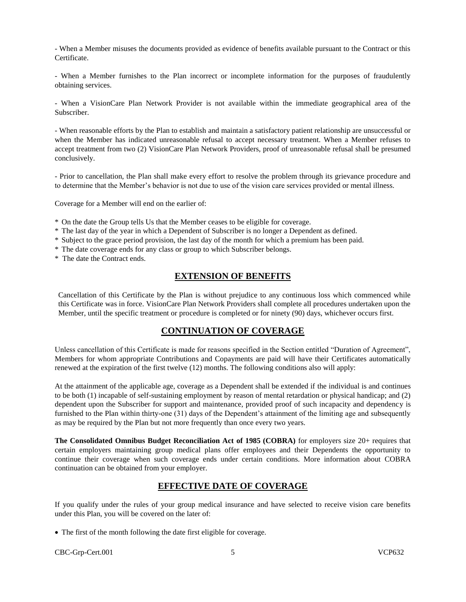- When a Member misuses the documents provided as evidence of benefits available pursuant to the Contract or this Certificate.

- When a Member furnishes to the Plan incorrect or incomplete information for the purposes of fraudulently obtaining services.

- When a VisionCare Plan Network Provider is not available within the immediate geographical area of the Subscriber.

- When reasonable efforts by the Plan to establish and maintain a satisfactory patient relationship are unsuccessful or when the Member has indicated unreasonable refusal to accept necessary treatment. When a Member refuses to accept treatment from two (2) VisionCare Plan Network Providers, proof of unreasonable refusal shall be presumed conclusively.

- Prior to cancellation, the Plan shall make every effort to resolve the problem through its grievance procedure and to determine that the Member's behavior is not due to use of the vision care services provided or mental illness.

Coverage for a Member will end on the earlier of:

- \* On the date the Group tells Us that the Member ceases to be eligible for coverage.
- \* The last day of the year in which a Dependent of Subscriber is no longer a Dependent as defined.
- \* Subject to the grace period provision, the last day of the month for which a premium has been paid.
- \* The date coverage ends for any class or group to which Subscriber belongs.
- \* The date the Contract ends.

# **EXTENSION OF BENEFITS**

Cancellation of this Certificate by the Plan is without prejudice to any continuous loss which commenced while this Certificate was in force. VisionCare Plan Network Providers shall complete all procedures undertaken upon the Member, until the specific treatment or procedure is completed or for ninety (90) days, whichever occurs first.

# **CONTINUATION OF COVERAGE**

Unless cancellation of this Certificate is made for reasons specified in the Section entitled "Duration of Agreement", Members for whom appropriate Contributions and Copayments are paid will have their Certificates automatically renewed at the expiration of the first twelve (12) months. The following conditions also will apply:

At the attainment of the applicable age, coverage as a Dependent shall be extended if the individual is and continues to be both (1) incapable of self-sustaining employment by reason of mental retardation or physical handicap; and (2) dependent upon the Subscriber for support and maintenance, provided proof of such incapacity and dependency is furnished to the Plan within thirty-one (31) days of the Dependent's attainment of the limiting age and subsequently as may be required by the Plan but not more frequently than once every two years.

**The Consolidated Omnibus Budget Reconciliation Act of 1985 (COBRA)** for employers size 20+ requires that certain employers maintaining group medical plans offer employees and their Dependents the opportunity to continue their coverage when such coverage ends under certain conditions. More information about COBRA continuation can be obtained from your employer.

# **EFFECTIVE DATE OF COVERAGE**

If you qualify under the rules of your group medical insurance and have selected to receive vision care benefits under this Plan, you will be covered on the later of:

The first of the month following the date first eligible for coverage.

CBC-Grp-Cert.001 5 VCP632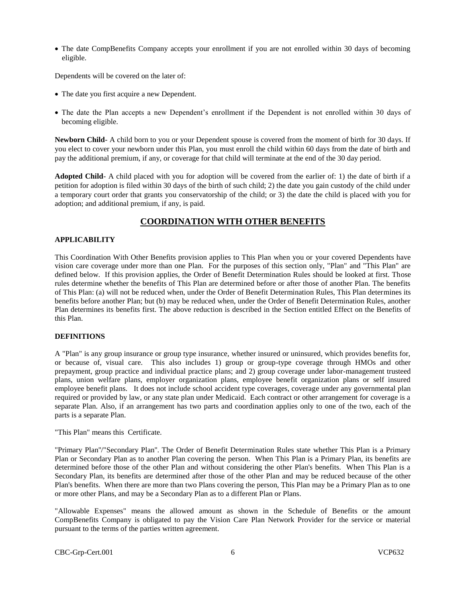• The date CompBenefits Company accepts your enrollment if you are not enrolled within 30 days of becoming eligible.

Dependents will be covered on the later of:

- The date you first acquire a new Dependent.
- The date the Plan accepts a new Dependent's enrollment if the Dependent is not enrolled within 30 days of becoming eligible.

**Newborn Child**- A child born to you or your Dependent spouse is covered from the moment of birth for 30 days. If you elect to cover your newborn under this Plan, you must enroll the child within 60 days from the date of birth and pay the additional premium, if any, or coverage for that child will terminate at the end of the 30 day period.

**Adopted Child**- A child placed with you for adoption will be covered from the earlier of: 1) the date of birth if a petition for adoption is filed within 30 days of the birth of such child; 2) the date you gain custody of the child under a temporary court order that grants you conservatorship of the child; or 3) the date the child is placed with you for adoption; and additional premium, if any, is paid.

# **COORDINATION WITH OTHER BENEFITS**

# **APPLICABILITY**

This Coordination With Other Benefits provision applies to This Plan when you or your covered Dependents have vision care coverage under more than one Plan. For the purposes of this section only, "Plan" and "This Plan" are defined below. If this provision applies, the Order of Benefit Determination Rules should be looked at first. Those rules determine whether the benefits of This Plan are determined before or after those of another Plan. The benefits of This Plan: (a) will not be reduced when, under the Order of Benefit Determination Rules, This Plan determines its benefits before another Plan; but (b) may be reduced when, under the Order of Benefit Determination Rules, another Plan determines its benefits first. The above reduction is described in the Section entitled Effect on the Benefits of this Plan.

### **DEFINITIONS**

A "Plan" is any group insurance or group type insurance, whether insured or uninsured, which provides benefits for, or because of, visual care. This also includes 1) group or group-type coverage through HMOs and other prepayment, group practice and individual practice plans; and 2) group coverage under labor-management trusteed plans, union welfare plans, employer organization plans, employee benefit organization plans or self insured employee benefit plans. It does not include school accident type coverages, coverage under any governmental plan required or provided by law, or any state plan under Medicaid. Each contract or other arrangement for coverage is a separate Plan. Also, if an arrangement has two parts and coordination applies only to one of the two, each of the parts is a separate Plan.

"This Plan" means this Certificate.

"Primary Plan''/"Secondary Plan''. The Order of Benefit Determination Rules state whether This Plan is a Primary Plan or Secondary Plan as to another Plan covering the person. When This Plan is a Primary Plan, its benefits are determined before those of the other Plan and without considering the other Plan's benefits. When This Plan is a Secondary Plan, its benefits are determined after those of the other Plan and may be reduced because of the other Plan's benefits. When there are more than two Plans covering the person, This Plan may be a Primary Plan as to one or more other Plans, and may be a Secondary Plan as to a different Plan or Plans.

"Allowable Expenses" means the allowed amount as shown in the Schedule of Benefits or the amount CompBenefits Company is obligated to pay the Vision Care Plan Network Provider for the service or material pursuant to the terms of the parties written agreement.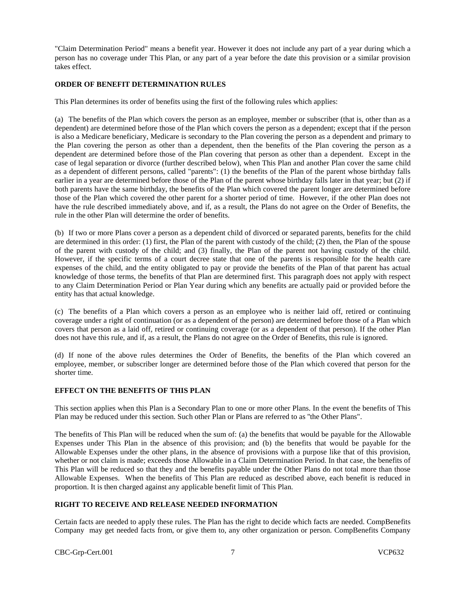"Claim Determination Period" means a benefit year. However it does not include any part of a year during which a person has no coverage under This Plan, or any part of a year before the date this provision or a similar provision takes effect.

# **ORDER OF BENEFIT DETERMINATION RULES**

This Plan determines its order of benefits using the first of the following rules which applies:

(a) The benefits of the Plan which covers the person as an employee, member or subscriber (that is, other than as a dependent) are determined before those of the Plan which covers the person as a dependent; except that if the person is also a Medicare beneficiary, Medicare is secondary to the Plan covering the person as a dependent and primary to the Plan covering the person as other than a dependent, then the benefits of the Plan covering the person as a dependent are determined before those of the Plan covering that person as other than a dependent. Except in the case of legal separation or divorce (further described below), when This Plan and another Plan cover the same child as a dependent of different persons, called "parents": (1) the benefits of the Plan of the parent whose birthday falls earlier in a year are determined before those of the Plan of the parent whose birthday falls later in that year; but (2) if both parents have the same birthday, the benefits of the Plan which covered the parent longer are determined before those of the Plan which covered the other parent for a shorter period of time. However, if the other Plan does not have the rule described immediately above, and if, as a result, the Plans do not agree on the Order of Benefits, the rule in the other Plan will determine the order of benefits.

(b) If two or more Plans cover a person as a dependent child of divorced or separated parents, benefits for the child are determined in this order: (1) first, the Plan of the parent with custody of the child; (2) then, the Plan of the spouse of the parent with custody of the child; and (3) finally, the Plan of the parent not having custody of the child. However, if the specific terms of a court decree state that one of the parents is responsible for the health care expenses of the child, and the entity obligated to pay or provide the benefits of the Plan of that parent has actual knowledge of those terms, the benefits of that Plan are determined first. This paragraph does not apply with respect to any Claim Determination Period or Plan Year during which any benefits are actually paid or provided before the entity has that actual knowledge.

(c) The benefits of a Plan which covers a person as an employee who is neither laid off, retired or continuing coverage under a right of continuation (or as a dependent of the person) are determined before those of a Plan which covers that person as a laid off, retired or continuing coverage (or as a dependent of that person). If the other Plan does not have this rule, and if, as a result, the Plans do not agree on the Order of Benefits, this rule is ignored.

(d) If none of the above rules determines the Order of Benefits, the benefits of the Plan which covered an employee, member, or subscriber longer are determined before those of the Plan which covered that person for the shorter time.

# **EFFECT ON THE BENEFITS OF THIS PLAN**

This section applies when this Plan is a Secondary Plan to one or more other Plans. In the event the benefits of This Plan may be reduced under this section. Such other Plan or Plans are referred to as ''the Other Plans".

The benefits of This Plan will be reduced when the sum of: (a) the benefits that would be payable for the Allowable Expenses under This Plan in the absence of this provision; and (b) the benefits that would be payable for the Allowable Expenses under the other plans, in the absence of provisions with a purpose like that of this provision, whether or not claim is made; exceeds those Allowable in a Claim Determination Period. In that case, the benefits of This Plan will be reduced so that they and the benefits payable under the Other Plans do not total more than those Allowable Expenses. When the benefits of This Plan are reduced as described above, each benefit is reduced in proportion. It is then charged against any applicable benefit limit of This Plan.

# **RIGHT TO RECEIVE AND RELEASE NEEDED INFORMATION**

Certain facts are needed to apply these rules. The Plan has the right to decide which facts are needed. CompBenefits Company may get needed facts from, or give them to, any other organization or person. CompBenefits Company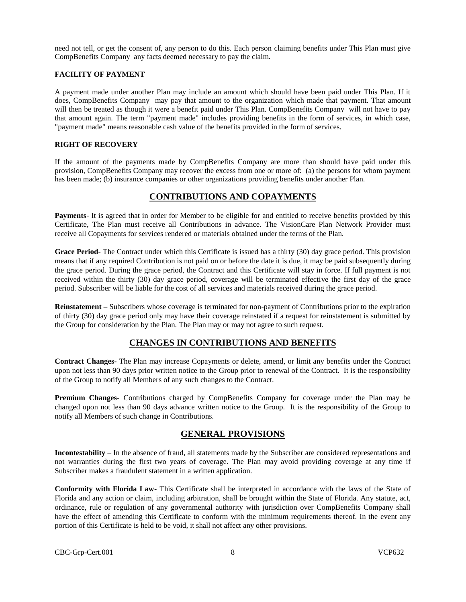need not tell, or get the consent of, any person to do this. Each person claiming benefits under This Plan must give CompBenefits Company any facts deemed necessary to pay the claim.

### **FACILITY OF PAYMENT**

A payment made under another Plan may include an amount which should have been paid under This Plan. If it does, CompBenefits Company may pay that amount to the organization which made that payment. That amount will then be treated as though it were a benefit paid under This Plan. CompBenefits Company will not have to pay that amount again. The term "payment made" includes providing benefits in the form of services, in which case, "payment made" means reasonable cash value of the benefits provided in the form of services.

# **RIGHT OF RECOVERY**

If the amount of the payments made by CompBenefits Company are more than should have paid under this provision, CompBenefits Company may recover the excess from one or more of: (a) the persons for whom payment has been made; (b) insurance companies or other organizations providing benefits under another Plan.

# **CONTRIBUTIONS AND COPAYMENTS**

**Payments**- It is agreed that in order for Member to be eligible for and entitled to receive benefits provided by this Certificate, The Plan must receive all Contributions in advance. The VisionCare Plan Network Provider must receive all Copayments for services rendered or materials obtained under the terms of the Plan.

**Grace Period**- The Contract under which this Certificate is issued has a thirty (30) day grace period. This provision means that if any required Contribution is not paid on or before the date it is due, it may be paid subsequently during the grace period. During the grace period, the Contract and this Certificate will stay in force. If full payment is not received within the thirty (30) day grace period, coverage will be terminated effective the first day of the grace period. Subscriber will be liable for the cost of all services and materials received during the grace period.

**Reinstatement –** Subscribers whose coverage is terminated for non-payment of Contributions prior to the expiration of thirty (30) day grace period only may have their coverage reinstated if a request for reinstatement is submitted by the Group for consideration by the Plan. The Plan may or may not agree to such request.

# **CHANGES IN CONTRIBUTIONS AND BENEFITS**

**Contract Changes-** The Plan may increase Copayments or delete, amend, or limit any benefits under the Contract upon not less than 90 days prior written notice to the Group prior to renewal of the Contract. It is the responsibility of the Group to notify all Members of any such changes to the Contract.

**Premium Changes**- Contributions charged by CompBenefits Company for coverage under the Plan may be changed upon not less than 90 days advance written notice to the Group. It is the responsibility of the Group to notify all Members of such change in Contributions.

# **GENERAL PROVISIONS**

**Incontestability** – In the absence of fraud, all statements made by the Subscriber are considered representations and not warranties during the first two years of coverage. The Plan may avoid providing coverage at any time if Subscriber makes a fraudulent statement in a written application.

**Conformity with Florida Law**- This Certificate shall be interpreted in accordance with the laws of the State of Florida and any action or claim, including arbitration, shall be brought within the State of Florida. Any statute, act, ordinance, rule or regulation of any governmental authority with jurisdiction over CompBenefits Company shall have the effect of amending this Certificate to conform with the minimum requirements thereof. In the event any portion of this Certificate is held to be void, it shall not affect any other provisions.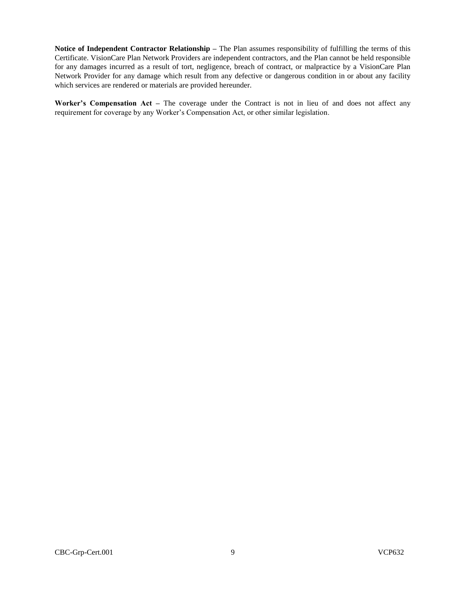**Notice of Independent Contractor Relationship –** The Plan assumes responsibility of fulfilling the terms of this Certificate. VisionCare Plan Network Providers are independent contractors, and the Plan cannot be held responsible for any damages incurred as a result of tort, negligence, breach of contract, or malpractice by a VisionCare Plan Network Provider for any damage which result from any defective or dangerous condition in or about any facility which services are rendered or materials are provided hereunder.

**Worker's Compensation Act –** The coverage under the Contract is not in lieu of and does not affect any requirement for coverage by any Worker's Compensation Act, or other similar legislation.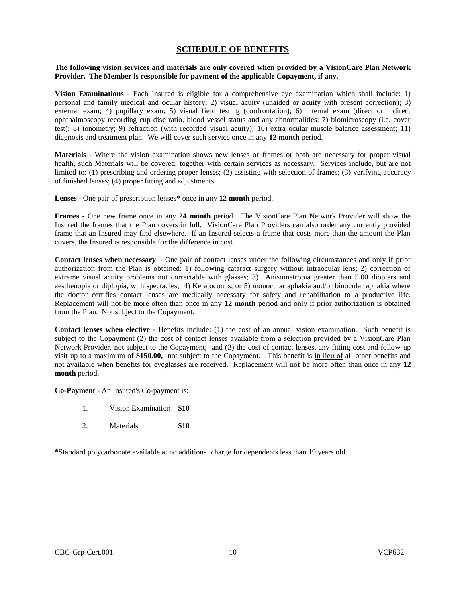# **SCHEDULE OF BENEFITS**

### **The following vision services and materials are only covered when provided by a VisionCare Plan Network Provider. The Member is responsible for payment of the applicable Copayment, if any.**

**Vision Examinations** - Each Insured is eligible for a comprehensive eye examination which shall include: 1) personal and family medical and ocular history; 2) visual acuity (unaided or acuity with present correction); 3) external exam; 4) pupillary exam; 5) visual field testing (confrontation); 6) internal exam (direct or indirect ophthalmoscopy recording cup disc ratio, blood vessel status and any abnormalities: 7) biomicroscopy (i.e. cover test); 8) tonometry; 9) refraction (with recorded visual acuity); 10) extra ocular muscle balance assessment; 11) diagnosis and treatment plan. We will cover such service once in any **12 month** period.

**Materials** - Where the vision examination shows new lenses or frames or both are necessary for proper visual health, such Materials will be covered, together with certain services as necessary. Services include, but are not limited to: (1) prescribing and ordering proper lenses; (2) assisting with selection of frames; (3) verifying accuracy of finished lenses; (4) proper fitting and adjustments.

**Lenses** - One pair of prescription lenses**\*** once in any **12 month** period.

**Frames** - One new frame once in any **24 month** period. The VisionCare Plan Network Provider will show the Insured the frames that the Plan covers in full. VisionCare Plan Providers can also order any currently provided frame that an Insured may find elsewhere. If an Insured selects a frame that costs more than the amount the Plan covers, the Insured is responsible for the difference in cost.

**Contact lenses when necessary** – One pair of contact lenses under the following circumstances and only if prior authorization from the Plan is obtained: 1) following cataract surgery without intraocular lens; 2) correction of extreme visual acuity problems not correctable with glasses; 3) Anisometropia greater than 5.00 diopters and aesthenopia or diplopia, with spectacles; 4) Keratoconus; or 5) monocular aphakia and/or binocular aphakia where the doctor certifies contact lenses are medically necessary for safety and rehabilitation to a productive life. Replacement will not be more often than once in any **12 month** period and only if prior authorization is obtained from the Plan. Not subject to the Copayment.

**Contact lenses when elective -** Benefits include: (1) the cost of an annual vision examination. Such benefit is subject to the Copayment (2) the cost of contact lenses available from a selection provided by a VisionCare Plan Network Provider, not subject to the Copayment; and (3) the cost of contact lenses, any fitting cost and follow-up visit up to a maximum of **\$150.00,** not subject to the Copayment. This benefit is in lieu of all other benefits and not available when benefits for eyeglasses are received. Replacement will not be more often than once in any **12 month** period.

**Co-Payment** - An Insured's Co-payment is:

- 1. Vision Examination **\$10**
- 2. Materials **\$10**

**\***Standard polycarbonate available at no additional charge for dependents less than 19 years old.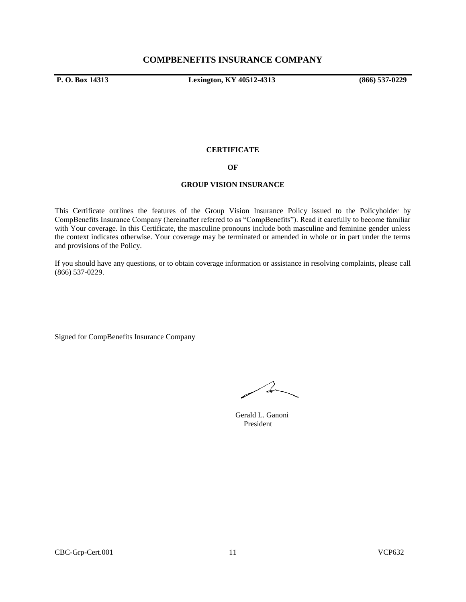**P. O. Box 14313 Lexington, KY 40512-4313 (866) 537-0229**

### **CERTIFICATE**

# **OF**

### **GROUP VISION INSURANCE**

This Certificate outlines the features of the Group Vision Insurance Policy issued to the Policyholder by CompBenefits Insurance Company (hereinafter referred to as "CompBenefits"). Read it carefully to become familiar with Your coverage. In this Certificate, the masculine pronouns include both masculine and feminine gender unless the context indicates otherwise. Your coverage may be terminated or amended in whole or in part under the terms and provisions of the Policy.

If you should have any questions, or to obtain coverage information or assistance in resolving complaints, please call (866) 537-0229.

Signed for CompBenefits Insurance Company

 $\rightarrow$ 

 Gerald L. Ganoni President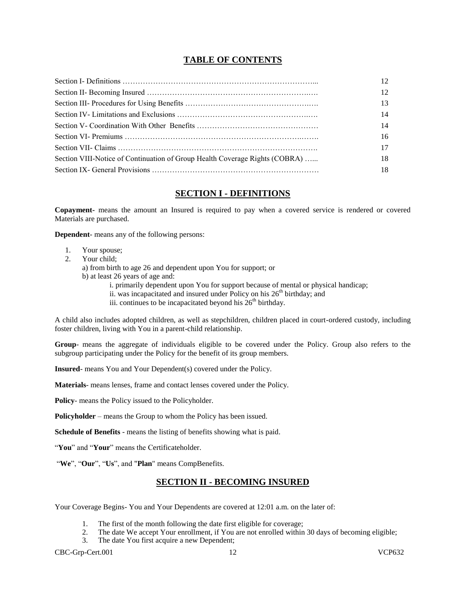# **TABLE OF CONTENTS**

|                                                                             | 14 |
|-----------------------------------------------------------------------------|----|
|                                                                             | 14 |
|                                                                             | 16 |
|                                                                             |    |
| Section VIII-Notice of Continuation of Group Health Coverage Rights (COBRA) | 18 |
|                                                                             | 18 |

# **SECTION I - DEFINITIONS**

**Copayment-** means the amount an Insured is required to pay when a covered service is rendered or covered Materials are purchased.

**Dependent**- means any of the following persons:

- 1. Your spouse;
- 2. Your child;

a) from birth to age 26 and dependent upon You for support; or

b) at least 26 years of age and:

i. primarily dependent upon You for support because of mental or physical handicap;

ii. was incapacitated and insured under Policy on his  $26<sup>th</sup>$  birthday; and

iii. continues to be incapacitated beyond his  $26<sup>th</sup>$  birthday.

A child also includes adopted children, as well as stepchildren, children placed in court-ordered custody, including foster children, living with You in a parent-child relationship.

**Group**- means the aggregate of individuals eligible to be covered under the Policy. Group also refers to the subgroup participating under the Policy for the benefit of its group members.

**Insured**- means You and Your Dependent(s) covered under the Policy.

**Materials**- means lenses, frame and contact lenses covered under the Policy.

**Policy**- means the Policy issued to the Policyholder.

**Policyholder** – means the Group to whom the Policy has been issued.

**Schedule of Benefits** - means the listing of benefits showing what is paid.

"**You**" and "**Your**" means the Certificateholder.

"**We**", "**Our**", "**Us**", and "**Plan**" means CompBenefits.

# **SECTION II - BECOMING INSURED**

Your Coverage Begins- You and Your Dependents are covered at 12:01 a.m. on the later of:

- 1. The first of the month following the date first eligible for coverage;
- 2. The date We accept Your enrollment, if You are not enrolled within 30 days of becoming eligible;
- 3. The date You first acquire a new Dependent;

CBC-Grp-Cert.001 12 VCP632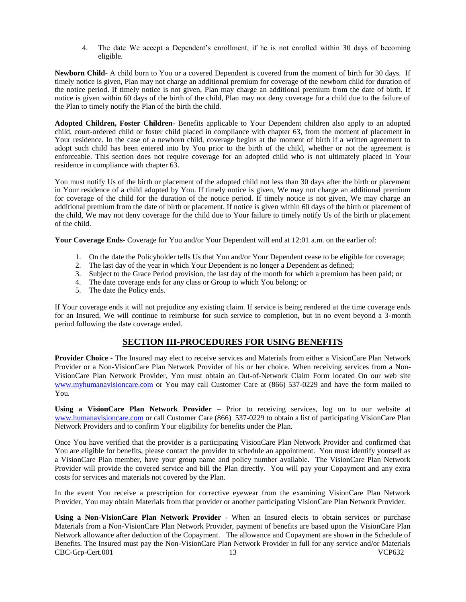4. The date We accept a Dependent's enrollment, if he is not enrolled within 30 days of becoming eligible.

**Newborn Child**- A child born to You or a covered Dependent is covered from the moment of birth for 30 days. If timely notice is given, Plan may not charge an additional premium for coverage of the newborn child for duration of the notice period. If timely notice is not given, Plan may charge an additional premium from the date of birth. If notice is given within 60 days of the birth of the child, Plan may not deny coverage for a child due to the failure of the Plan to timely notify the Plan of the birth the child.

**Adopted Children, Foster Children**- Benefits applicable to Your Dependent children also apply to an adopted child, court-ordered child or foster child placed in compliance with chapter 63, from the moment of placement in Your residence. In the case of a newborn child, coverage begins at the moment of birth if a written agreement to adopt such child has been entered into by You prior to the birth of the child, whether or not the agreement is enforceable. This section does not require coverage for an adopted child who is not ultimately placed in Your residence in compliance with chapter 63.

You must notify Us of the birth or placement of the adopted child not less than 30 days after the birth or placement in Your residence of a child adopted by You. If timely notice is given, We may not charge an additional premium for coverage of the child for the duration of the notice period. If timely notice is not given, We may charge an additional premium from the date of birth or placement. If notice is given within 60 days of the birth or placement of the child, We may not deny coverage for the child due to Your failure to timely notify Us of the birth or placement of the child.

**Your Coverage Ends**- Coverage for You and/or Your Dependent will end at 12:01 a.m. on the earlier of:

- 1. On the date the Policyholder tells Us that You and/or Your Dependent cease to be eligible for coverage;
- 2. The last day of the year in which Your Dependent is no longer a Dependent as defined;
- 3. Subject to the Grace Period provision, the last day of the month for which a premium has been paid; or
- 4. The date coverage ends for any class or Group to which You belong; or
- 5. The date the Policy ends.

If Your coverage ends it will not prejudice any existing claim. If service is being rendered at the time coverage ends for an Insured, We will continue to reimburse for such service to completion, but in no event beyond a 3-month period following the date coverage ended.

# **SECTION III-PROCEDURES FOR USING BENEFITS**

**Provider Choice -** The Insured may elect to receive services and Materials from either a VisionCare Plan Network Provider or a Non-VisionCare Plan Network Provider of his or her choice. When receiving services from a Non-VisionCare Plan Network Provider, You must obtain an Out-of-Network Claim Form located On our web site [www.myhumanavisioncare.com](http://www.myhumanavisioncare.com/) or You may call Customer Care at (866) 537-0229 and have the form mailed to You.

**Using a VisionCare Plan Network Provider** – Prior to receiving services, log on to our website at [www.humanavisioncare.com](http://www.humanavisioncare.com/) or call Customer Care (866) 537-0229 to obtain a list of participating VisionCare Plan Network Providers and to confirm Your eligibility for benefits under the Plan.

Once You have verified that the provider is a participating VisionCare Plan Network Provider and confirmed that You are eligible for benefits, please contact the provider to schedule an appointment. You must identify yourself as a VisionCare Plan member, have your group name and policy number available. The VisionCare Plan Network Provider will provide the covered service and bill the Plan directly. You will pay your Copayment and any extra costs for services and materials not covered by the Plan.

In the event You receive a prescription for corrective eyewear from the examining VisionCare Plan Network Provider, You may obtain Materials from that provider or another participating VisionCare Plan Network Provider.

CBC-Grp-Cert.001 13 VCP632 **Using a Non-VisionCare Plan Network Provider** - When an Insured elects to obtain services or purchase Materials from a Non-VisionCare Plan Network Provider, payment of benefits are based upon the VisionCare Plan Network allowance after deduction of the Copayment. The allowance and Copayment are shown in the Schedule of Benefits. The Insured must pay the Non-VisionCare Plan Network Provider in full for any service and/or Materials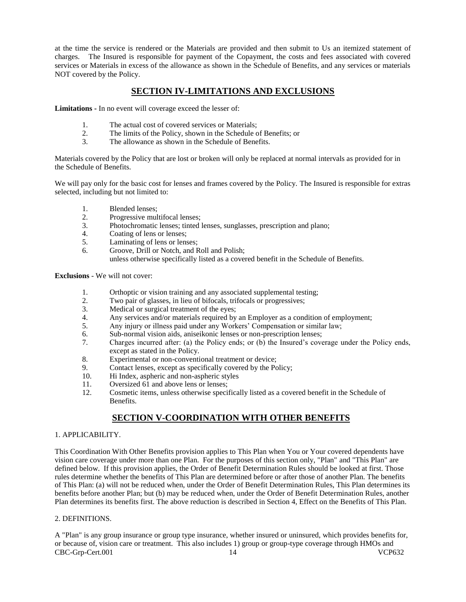at the time the service is rendered or the Materials are provided and then submit to Us an itemized statement of charges. The Insured is responsible for payment of the Copayment, the costs and fees associated with covered services or Materials in excess of the allowance as shown in the Schedule of Benefits, and any services or materials NOT covered by the Policy.

# **SECTION IV-LIMITATIONS AND EXCLUSIONS**

**Limitations -** In no event will coverage exceed the lesser of:

- 1. The actual cost of covered services or Materials;<br>2. The limits of the Policy, shown in the Schedule of
- 2. The limits of the Policy, shown in the Schedule of Benefits; or<br>
The allowance as shown in the Schedule of Benefits.
- The allowance as shown in the Schedule of Benefits.

Materials covered by the Policy that are lost or broken will only be replaced at normal intervals as provided for in the Schedule of Benefits.

We will pay only for the basic cost for lenses and frames covered by the Policy. The Insured is responsible for extras selected, including but not limited to:

- 1. Blended lenses;<br>2. Progressive mul
- Progressive multifocal lenses;
- 3. Photochromatic lenses; tinted lenses, sunglasses, prescription and plano;
- 4. Coating of lens or lenses;<br>5. Laminating of lens or lens
- Laminating of lens or lenses;
- 6. Groove, Drill or Notch, and Roll and Polish;
	- unless otherwise specifically listed as a covered benefit in the Schedule of Benefits.

**Exclusions** - We will not cover:

- 1. Orthoptic or vision training and any associated supplemental testing;
- 2. Two pair of glasses, in lieu of bifocals, trifocals or progressives;<br>3. Medical or surgical treatment of the eves:
- 3. Medical or surgical treatment of the eyes;<br>4. Any services and/or materials required by
- Any services and/or materials required by an Employer as a condition of employment;
- 5. Any injury or illness paid under any Workers' Compensation or similar law;<br>6. Sub-normal vision aids, aniseikonic lenses or non-prescription lenses:
- Sub-normal vision aids, aniseikonic lenses or non-prescription lenses;
- 7. Charges incurred after: (a) the Policy ends; or (b) the Insured's coverage under the Policy ends, except as stated in the Policy.
- 8. Experimental or non-conventional treatment or device;<br>9. Contact lenses, except as specifically covered by the Po
- Contact lenses, except as specifically covered by the Policy;
- 10. Hi Index, aspheric and non-aspheric styles<br>11 Oversized 61 and above lens or lenses:
- 11. Oversized 61 and above lens or lenses;<br>12. Cosmetic items, unless otherwise speci-
- Cosmetic items, unless otherwise specifically listed as a covered benefit in the Schedule of Benefits.

# **SECTION V-COORDINATION WITH OTHER BENEFITS**

# 1. APPLICABILITY.

This Coordination With Other Benefits provision applies to This Plan when You or Your covered dependents have vision care coverage under more than one Plan. For the purposes of this section only, "Plan" and "This Plan" are defined below. If this provision applies, the Order of Benefit Determination Rules should be looked at first. Those rules determine whether the benefits of This Plan are determined before or after those of another Plan. The benefits of This Plan: (a) will not be reduced when, under the Order of Benefit Determination Rules, This Plan determines its benefits before another Plan; but (b) may be reduced when, under the Order of Benefit Determination Rules, another Plan determines its benefits first. The above reduction is described in Section 4, Effect on the Benefits of This Plan.

# 2. DEFINITIONS.

CBC-Grp-Cert.001 14 VCP632 A "Plan" is any group insurance or group type insurance, whether insured or uninsured, which provides benefits for, or because of, vision care or treatment. This also includes 1) group or group-type coverage through HMOs and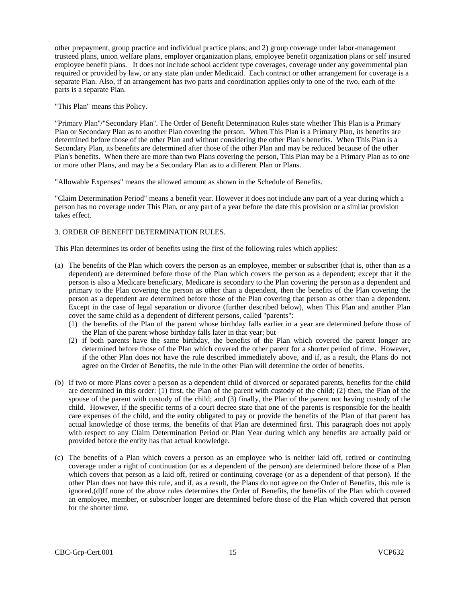other prepayment, group practice and individual practice plans; and 2) group coverage under labor-management trusteed plans, union welfare plans, employer organization plans, employee benefit organization plans or self insured employee benefit plans. It does not include school accident type coverages, coverage under any governmental plan required or provided by law, or any state plan under Medicaid. Each contract or other arrangement for coverage is a separate Plan. Also, if an arrangement has two parts and coordination applies only to one of the two, each of the parts is a separate Plan.

"This Plan" means this Policy.

"Primary Plan''/"Secondary Plan''. The Order of Benefit Determination Rules state whether This Plan is a Primary Plan or Secondary Plan as to another Plan covering the person. When This Plan is a Primary Plan, its benefits are determined before those of the other Plan and without considering the other Plan's benefits. When This Plan is a Secondary Plan, its benefits are determined after those of the other Plan and may be reduced because of the other Plan's benefits. When there are more than two Plans covering the person, This Plan may be a Primary Plan as to one or more other Plans, and may be a Secondary Plan as to a different Plan or Plans.

"Allowable Expenses" means the allowed amount as shown in the Schedule of Benefits.

"Claim Determination Period" means a benefit year. However it does not include any part of a year during which a person has no coverage under This Plan, or any part of a year before the date this provision or a similar provision takes effect.

### 3. ORDER OF BENEFIT DETERMINATION RULES.

This Plan determines its order of benefits using the first of the following rules which applies:

- (a) The benefits of the Plan which covers the person as an employee, member or subscriber (that is, other than as a dependent) are determined before those of the Plan which covers the person as a dependent; except that if the person is also a Medicare beneficiary, Medicare is secondary to the Plan covering the person as a dependent and primary to the Plan covering the person as other than a dependent, then the benefits of the Plan covering the person as a dependent are determined before those of the Plan covering that person as other than a dependent. Except in the case of legal separation or divorce (further described below), when This Plan and another Plan cover the same child as a dependent of different persons, called "parents":
	- (1) the benefits of the Plan of the parent whose birthday falls earlier in a year are determined before those of the Plan of the parent whose birthday falls later in that year; but
	- (2) if both parents have the same birthday, the benefits of the Plan which covered the parent longer are determined before those of the Plan which covered the other parent for a shorter period of time. However, if the other Plan does not have the rule described immediately above, and if, as a result, the Plans do not agree on the Order of Benefits, the rule in the other Plan will determine the order of benefits.
- (b) If two or more Plans cover a person as a dependent child of divorced or separated parents, benefits for the child are determined in this order:  $(1)$  first, the Plan of the parent with custody of the child;  $(2)$  then, the Plan of the spouse of the parent with custody of the child; and (3) finally, the Plan of the parent not having custody of the child. However, if the specific terms of a court decree state that one of the parents is responsible for the health care expenses of the child, and the entity obligated to pay or provide the benefits of the Plan of that parent has actual knowledge of those terms, the benefits of that Plan are determined first. This paragraph does not apply with respect to any Claim Determination Period or Plan Year during which any benefits are actually paid or provided before the entity has that actual knowledge.
- (c) The benefits of a Plan which covers a person as an employee who is neither laid off, retired or continuing coverage under a right of continuation (or as a dependent of the person) are determined before those of a Plan which covers that person as a laid off, retired or continuing coverage (or as a dependent of that person). If the other Plan does not have this rule, and if, as a result, the Plans do not agree on the Order of Benefits, this rule is ignored.(d)If none of the above rules determines the Order of Benefits, the benefits of the Plan which covered an employee, member, or subscriber longer are determined before those of the Plan which covered that person for the shorter time.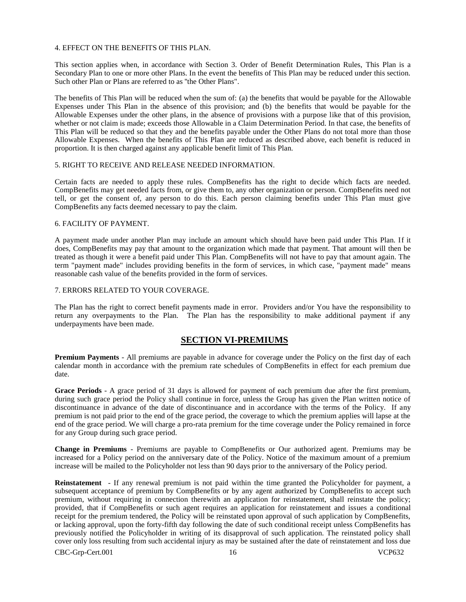#### 4. EFFECT ON THE BENEFITS OF THIS PLAN.

This section applies when, in accordance with Section 3. Order of Benefit Determination Rules, This Plan is a Secondary Plan to one or more other Plans. In the event the benefits of This Plan may be reduced under this section. Such other Plan or Plans are referred to as ''the Other Plans".

The benefits of This Plan will be reduced when the sum of: (a) the benefits that would be payable for the Allowable Expenses under This Plan in the absence of this provision; and (b) the benefits that would be payable for the Allowable Expenses under the other plans, in the absence of provisions with a purpose like that of this provision, whether or not claim is made; exceeds those Allowable in a Claim Determination Period. In that case, the benefits of This Plan will be reduced so that they and the benefits payable under the Other Plans do not total more than those Allowable Expenses. When the benefits of This Plan are reduced as described above, each benefit is reduced in proportion. It is then charged against any applicable benefit limit of This Plan.

### 5. RIGHT TO RECEIVE AND RELEASE NEEDED INFORMATION.

Certain facts are needed to apply these rules. CompBenefits has the right to decide which facts are needed. CompBenefits may get needed facts from, or give them to, any other organization or person. CompBenefits need not tell, or get the consent of, any person to do this. Each person claiming benefits under This Plan must give CompBenefits any facts deemed necessary to pay the claim.

### 6. FACILITY OF PAYMENT.

A payment made under another Plan may include an amount which should have been paid under This Plan. If it does, CompBenefits may pay that amount to the organization which made that payment. That amount will then be treated as though it were a benefit paid under This Plan. CompBenefits will not have to pay that amount again. The term "payment made" includes providing benefits in the form of services, in which case, "payment made" means reasonable cash value of the benefits provided in the form of services.

### 7. ERRORS RELATED TO YOUR COVERAGE.

The Plan has the right to correct benefit payments made in error. Providers and/or You have the responsibility to return any overpayments to the Plan. The Plan has the responsibility to make additional payment if any underpayments have been made.

# **SECTION VI-PREMIUMS**

**Premium Payments** - All premiums are payable in advance for coverage under the Policy on the first day of each calendar month in accordance with the premium rate schedules of CompBenefits in effect for each premium due date.

**Grace Periods** - A grace period of 31 days is allowed for payment of each premium due after the first premium, during such grace period the Policy shall continue in force, unless the Group has given the Plan written notice of discontinuance in advance of the date of discontinuance and in accordance with the terms of the Policy. If any premium is not paid prior to the end of the grace period, the coverage to which the premium applies will lapse at the end of the grace period. We will charge a pro-rata premium for the time coverage under the Policy remained in force for any Group during such grace period.

**Change in Premiums** - Premiums are payable to CompBenefits or Our authorized agent. Premiums may be increased for a Policy period on the anniversary date of the Policy. Notice of the maximum amount of a premium increase will be mailed to the Policyholder not less than 90 days prior to the anniversary of the Policy period.

**Reinstatement** - If any renewal premium is not paid within the time granted the Policyholder for payment, a subsequent acceptance of premium by CompBenefits or by any agent authorized by CompBenefits to accept such premium, without requiring in connection therewith an application for reinstatement, shall reinstate the policy; provided, that if CompBenefits or such agent requires an application for reinstatement and issues a conditional receipt for the premium tendered, the Policy will be reinstated upon approval of such application by CompBenefits, or lacking approval, upon the forty-fifth day following the date of such conditional receipt unless CompBenefits has previously notified the Policyholder in writing of its disapproval of such application. The reinstated policy shall cover only loss resulting from such accidental injury as may be sustained after the date of reinstatement and loss due

CBC-Grp-Cert.001 16 16 VCP632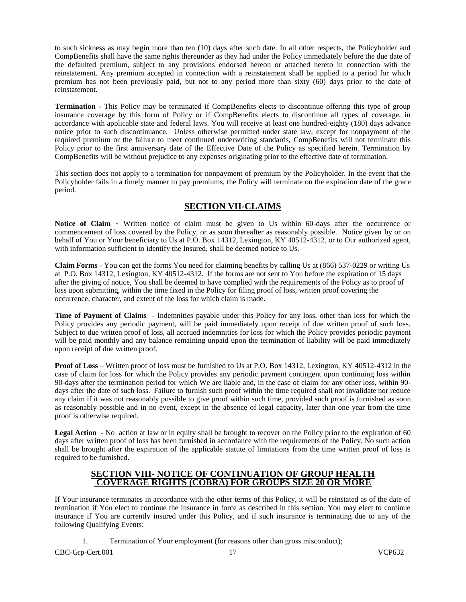to such sickness as may begin more than ten (10) days after such date. In all other respects, the Policyholder and CompBenefits shall have the same rights thereunder as they had under the Policy immediately before the due date of the defaulted premium, subject to any provisions endorsed hereon or attached hereto in connection with the reinstatement. Any premium accepted in connection with a reinstatement shall be applied to a period for which premium has not been previously paid, but not to any period more than sixty (60) days prior to the date of reinstatement.

**Termination -** This Policy may be terminated if CompBenefits elects to discontinue offering this type of group insurance coverage by this form of Policy or if CompBenefits elects to discontinue all types of coverage, in accordance with applicable state and federal laws. You will receive at least one hundred-eighty (180) days advance notice prior to such discontinuance. Unless otherwise permitted under state law, except for nonpayment of the required premium or the failure to meet continued underwriting standards, CompBenefits will not terminate this Policy prior to the first anniversary date of the Effective Date of the Policy as specified herein. Termination by CompBenefits will be without prejudice to any expenses originating prior to the effective date of termination.

This section does not apply to a termination for nonpayment of premium by the Policyholder. In the event that the Policyholder fails in a timely manner to pay premiums, the Policy will terminate on the expiration date of the grace period.

# **SECTION VII-CLAIMS**

**Notice of Claim** - Written notice of claim must be given to Us within 60-days after the occurrence or commencement of loss covered by the Policy, or as soon thereafter as reasonably possible. Notice given by or on behalf of You or Your beneficiary to Us at P.O. Box 14312, Lexington, KY 40512-4312, or to Our authorized agent, with information sufficient to identify the Insured, shall be deemed notice to Us.

**Claim Forms** - You can get the forms You need for claiming benefits by calling Us at (866) 537-0229 or writing Us at P.O. Box 14312, Lexington, KY 40512-4312. If the forms are not sent to You before the expiration of 15 days after the giving of notice, You shall be deemed to have complied with the requirements of the Policy as to proof of loss upon submitting, within the time fixed in the Policy for filing proof of loss, written proof covering the occurrence, character, and extent of the loss for which claim is made.

**Time of Payment of Claims** - Indemnities payable under this Policy for any loss, other than loss for which the Policy provides any periodic payment, will be paid immediately upon receipt of due written proof of such loss. Subject to due written proof of loss, all accrued indemnities for loss for which the Policy provides periodic payment will be paid monthly and any balance remaining unpaid upon the termination of liability will be paid immediately upon receipt of due written proof.

**Proof of Loss** – Written proof of loss must be furnished to Us at P.O. Box 14312, Lexington, KY 40512-4312 in the case of claim for loss for which the Policy provides any periodic payment contingent upon continuing loss within 90-days after the termination period for which We are liable and, in the case of claim for any other loss, within 90 days after the date of such loss. Failure to furnish such proof within the time required shall not invalidate nor reduce any claim if it was not reasonably possible to give proof within such time, provided such proof is furnished as soon as reasonably possible and in no event, except in the absence of legal capacity, later than one year from the time proof is otherwise required.

**Legal Action** - No action at law or in equity shall be brought to recover on the Policy prior to the expiration of 60 days after written proof of loss has been furnished in accordance with the requirements of the Policy. No such action shall be brought after the expiration of the applicable statute of limitations from the time written proof of loss is required to be furnished.

# **SECTION VIII- NOTICE OF CONTINUATION OF GROUP HEALTH COVERAGE RIGHTS (COBRA) FOR GROUPS SIZE 20 OR MORE**

If Your insurance terminates in accordance with the other terms of this Policy, it will be reinstated as of the date of termination if You elect to continue the insurance in force as described in this section. You may elect to continue insurance if You are currently insured under this Policy, and if such insurance is terminating due to any of the following Qualifying Events:

CBC-Grp-Cert.001 17 VCP632 1. Termination of Your employment (for reasons other than gross misconduct);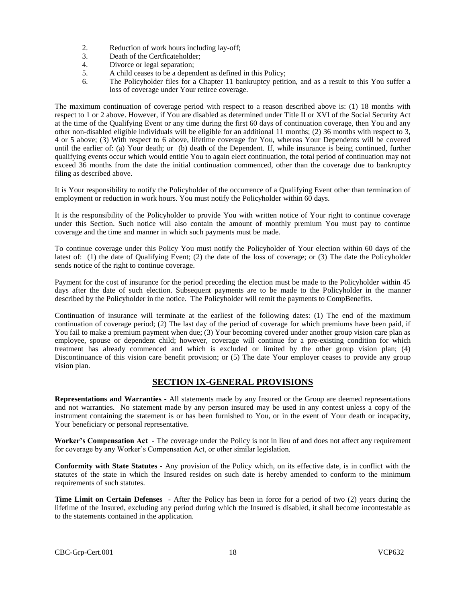- 2. Reduction of work hours including lay-off;
- 3. Death of the Certficateholder;
- 4. Divorce or legal separation;
- 5. A child ceases to be a dependent as defined in this Policy;
- 6. The Policyholder files for a Chapter 11 bankruptcy petition, and as a result to this You suffer a loss of coverage under Your retiree coverage.

The maximum continuation of coverage period with respect to a reason described above is: (1) 18 months with respect to 1 or 2 above. However, if You are disabled as determined under Title II or XVI of the Social Security Act at the time of the Qualifying Event or any time during the first 60 days of continuation coverage, then You and any other non-disabled eligible individuals will be eligible for an additional 11 months; (2) 36 months with respect to 3, 4 or 5 above; (3) With respect to 6 above, lifetime coverage for You, whereas Your Dependents will be covered until the earlier of: (a) Your death; or (b) death of the Dependent. If, while insurance is being continued, further qualifying events occur which would entitle You to again elect continuation, the total period of continuation may not exceed 36 months from the date the initial continuation commenced, other than the coverage due to bankruptcy filing as described above.

It is Your responsibility to notify the Policyholder of the occurrence of a Qualifying Event other than termination of employment or reduction in work hours. You must notify the Policyholder within 60 days.

It is the responsibility of the Policyholder to provide You with written notice of Your right to continue coverage under this Section. Such notice will also contain the amount of monthly premium You must pay to continue coverage and the time and manner in which such payments must be made.

To continue coverage under this Policy You must notify the Policyholder of Your election within 60 days of the latest of: (1) the date of Qualifying Event; (2) the date of the loss of coverage; or (3) The date the Policyholder sends notice of the right to continue coverage.

Payment for the cost of insurance for the period preceding the election must be made to the Policyholder within 45 days after the date of such election. Subsequent payments are to be made to the Policyholder in the manner described by the Policyholder in the notice. The Policyholder will remit the payments to CompBenefits.

Continuation of insurance will terminate at the earliest of the following dates: (1) The end of the maximum continuation of coverage period; (2) The last day of the period of coverage for which premiums have been paid, if You fail to make a premium payment when due; (3) Your becoming covered under another group vision care plan as employee, spouse or dependent child; however, coverage will continue for a pre-existing condition for which treatment has already commenced and which is excluded or limited by the other group vision plan; (4) Discontinuance of this vision care benefit provision; or (5) The date Your employer ceases to provide any group vision plan.

# **SECTION IX-GENERAL PROVISIONS**

**Representations and Warranties -** All statements made by any Insured or the Group are deemed representations and not warranties. No statement made by any person insured may be used in any contest unless a copy of the instrument containing the statement is or has been furnished to You, or in the event of Your death or incapacity, Your beneficiary or personal representative.

**Worker's Compensation Act** - The coverage under the Policy is not in lieu of and does not affect any requirement for coverage by any Worker's Compensation Act, or other similar legislation.

**Conformity with State Statutes -** Any provision of the Policy which, on its effective date, is in conflict with the statutes of the state in which the Insured resides on such date is hereby amended to conform to the minimum requirements of such statutes.

**Time Limit on Certain Defenses** - After the Policy has been in force for a period of two (2) years during the lifetime of the Insured, excluding any period during which the Insured is disabled, it shall become incontestable as to the statements contained in the application.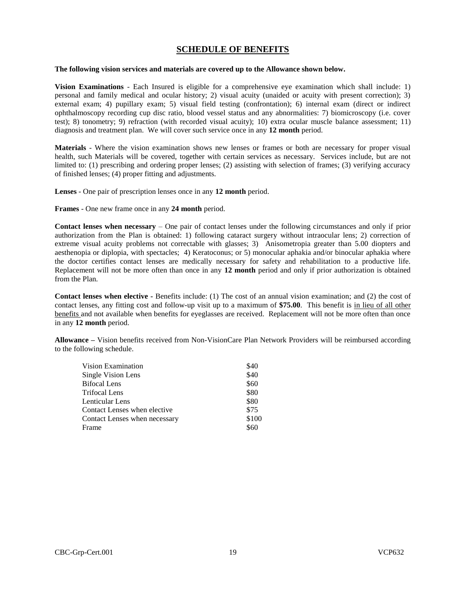# **SCHEDULE OF BENEFITS**

#### **The following vision services and materials are covered up to the Allowance shown below.**

**Vision Examinations** - Each Insured is eligible for a comprehensive eye examination which shall include: 1) personal and family medical and ocular history; 2) visual acuity (unaided or acuity with present correction); 3) external exam; 4) pupillary exam; 5) visual field testing (confrontation); 6) internal exam (direct or indirect ophthalmoscopy recording cup disc ratio, blood vessel status and any abnormalities: 7) biomicroscopy (i.e. cover test); 8) tonometry; 9) refraction (with recorded visual acuity); 10) extra ocular muscle balance assessment; 11) diagnosis and treatment plan. We will cover such service once in any **12 month** period.

**Materials** - Where the vision examination shows new lenses or frames or both are necessary for proper visual health, such Materials will be covered, together with certain services as necessary. Services include, but are not limited to: (1) prescribing and ordering proper lenses; (2) assisting with selection of frames; (3) verifying accuracy of finished lenses; (4) proper fitting and adjustments.

**Lenses** - One pair of prescription lenses once in any **12 month** period.

**Frames** - One new frame once in any **24 month** period.

**Contact lenses when necessary** – One pair of contact lenses under the following circumstances and only if prior authorization from the Plan is obtained: 1) following cataract surgery without intraocular lens; 2) correction of extreme visual acuity problems not correctable with glasses; 3) Anisometropia greater than 5.00 diopters and aesthenopia or diplopia, with spectacles; 4) Keratoconus; or 5) monocular aphakia and/or binocular aphakia where the doctor certifies contact lenses are medically necessary for safety and rehabilitation to a productive life. Replacement will not be more often than once in any **12 month** period and only if prior authorization is obtained from the Plan.

**Contact lenses when elective -** Benefits include: (1) The cost of an annual vision examination; and (2) the cost of contact lenses, any fitting cost and follow-up visit up to a maximum of **\$75.00**. This benefit is in lieu of all other benefits and not available when benefits for eyeglasses are received. Replacement will not be more often than once in any **12 month** period.

**Allowance –** Vision benefits received from Non-VisionCare Plan Network Providers will be reimbursed according to the following schedule.

| Vision Examination            | \$40  |
|-------------------------------|-------|
| Single Vision Lens            | \$40  |
| Bifocal Lens                  | \$60  |
| Trifocal Lens                 | \$80  |
| Lenticular Lens               | \$80  |
| Contact Lenses when elective  | \$75  |
| Contact Lenses when necessary | \$100 |
| Frame                         | \$60  |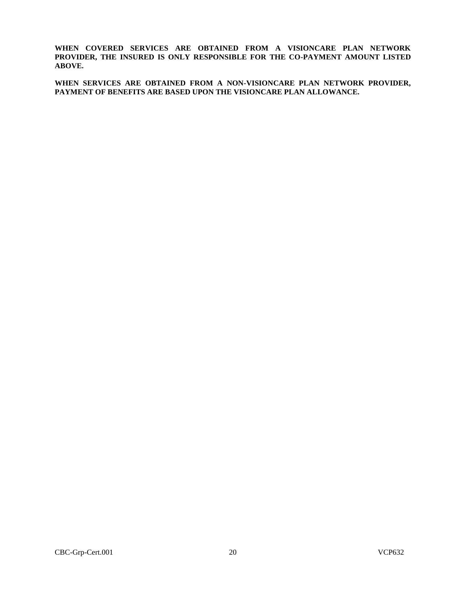**WHEN COVERED SERVICES ARE OBTAINED FROM A VISIONCARE PLAN NETWORK PROVIDER, THE INSURED IS ONLY RESPONSIBLE FOR THE CO-PAYMENT AMOUNT LISTED ABOVE.**

**WHEN SERVICES ARE OBTAINED FROM A NON-VISIONCARE PLAN NETWORK PROVIDER, PAYMENT OF BENEFITS ARE BASED UPON THE VISIONCARE PLAN ALLOWANCE.**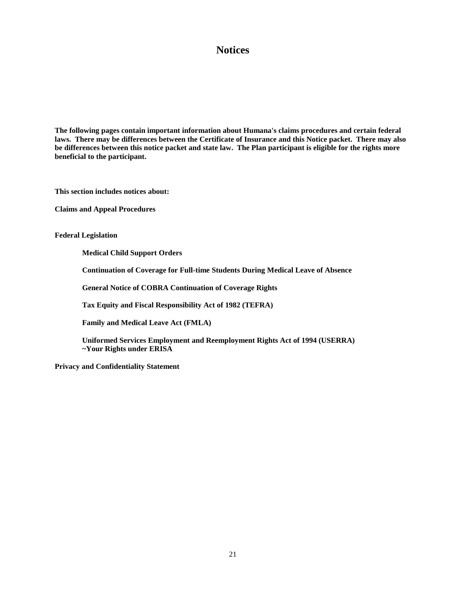# **Notices**

**The following pages contain important information about Humana's claims procedures and certain federal laws. There may be differences between the Certificate of Insurance and this Notice packet. There may also be differences between this notice packet and state law. The Plan participant is eligible for the rights more beneficial to the participant.**

**This section includes notices about:**

**Claims and Appeal Procedures**

**Federal Legislation**

**Medical Child Support Orders**

**Continuation of Coverage for Full-time Students During Medical Leave of Absence**

**General Notice of COBRA Continuation of Coverage Rights** 

**Tax Equity and Fiscal Responsibility Act of 1982 (TEFRA)**

**Family and Medical Leave Act (FMLA)**

**Uniformed Services Employment and Reemployment Rights Act of 1994 (USERRA) ~Your Rights under ERISA**

**Privacy and Confidentiality Statement**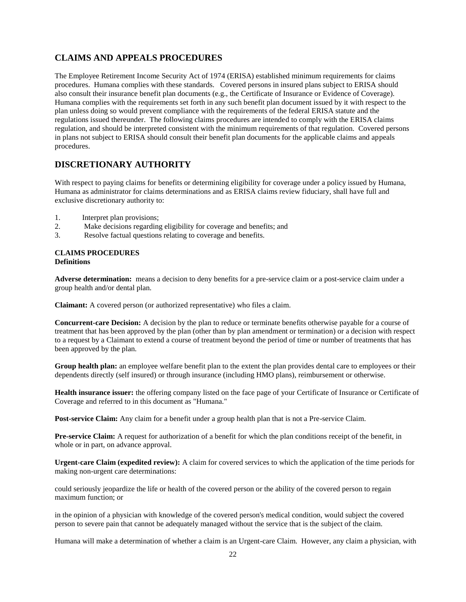# **CLAIMS AND APPEALS PROCEDURES**

The Employee Retirement Income Security Act of 1974 (ERISA) established minimum requirements for claims procedures. Humana complies with these standards. Covered persons in insured plans subject to ERISA should also consult their insurance benefit plan documents (e.g., the Certificate of Insurance or Evidence of Coverage). Humana complies with the requirements set forth in any such benefit plan document issued by it with respect to the plan unless doing so would prevent compliance with the requirements of the federal ERISA statute and the regulations issued thereunder. The following claims procedures are intended to comply with the ERISA claims regulation, and should be interpreted consistent with the minimum requirements of that regulation. Covered persons in plans not subject to ERISA should consult their benefit plan documents for the applicable claims and appeals procedures.

# **DISCRETIONARY AUTHORITY**

With respect to paying claims for benefits or determining eligibility for coverage under a policy issued by Humana, Humana as administrator for claims determinations and as ERISA claims review fiduciary, shall have full and exclusive discretionary authority to:

- 1. Interpret plan provisions;
- 2. Make decisions regarding eligibility for coverage and benefits; and
- 3. Resolve factual questions relating to coverage and benefits.

### **CLAIMS PROCEDURES Definitions**

**Adverse determination:** means a decision to deny benefits for a pre-service claim or a post-service claim under a group health and/or dental plan.

**Claimant:** A covered person (or authorized representative) who files a claim.

**Concurrent-care Decision:** A decision by the plan to reduce or terminate benefits otherwise payable for a course of treatment that has been approved by the plan (other than by plan amendment or termination) or a decision with respect to a request by a Claimant to extend a course of treatment beyond the period of time or number of treatments that has been approved by the plan.

**Group health plan:** an employee welfare benefit plan to the extent the plan provides dental care to employees or their dependents directly (self insured) or through insurance (including HMO plans), reimbursement or otherwise.

**Health insurance issuer:** the offering company listed on the face page of your Certificate of Insurance or Certificate of Coverage and referred to in this document as "Humana."

**Post-service Claim:** Any claim for a benefit under a group health plan that is not a Pre-service Claim.

**Pre-service Claim:** A request for authorization of a benefit for which the plan conditions receipt of the benefit, in whole or in part, on advance approval.

**Urgent-care Claim (expedited review):** A claim for covered services to which the application of the time periods for making non-urgent care determinations:

could seriously jeopardize the life or health of the covered person or the ability of the covered person to regain maximum function; or

in the opinion of a physician with knowledge of the covered person's medical condition, would subject the covered person to severe pain that cannot be adequately managed without the service that is the subject of the claim.

Humana will make a determination of whether a claim is an Urgent-care Claim. However, any claim a physician, with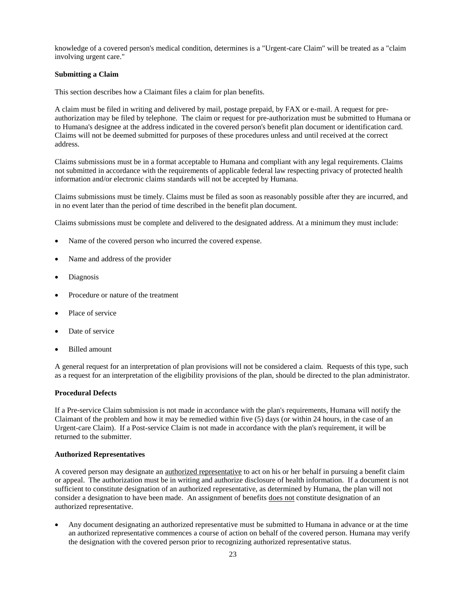knowledge of a covered person's medical condition, determines is a "Urgent-care Claim" will be treated as a "claim involving urgent care."

### **Submitting a Claim**

This section describes how a Claimant files a claim for plan benefits.

A claim must be filed in writing and delivered by mail, postage prepaid, by FAX or e-mail. A request for preauthorization may be filed by telephone. The claim or request for pre-authorization must be submitted to Humana or to Humana's designee at the address indicated in the covered person's benefit plan document or identification card. Claims will not be deemed submitted for purposes of these procedures unless and until received at the correct address.

Claims submissions must be in a format acceptable to Humana and compliant with any legal requirements. Claims not submitted in accordance with the requirements of applicable federal law respecting privacy of protected health information and/or electronic claims standards will not be accepted by Humana.

Claims submissions must be timely. Claims must be filed as soon as reasonably possible after they are incurred, and in no event later than the period of time described in the benefit plan document.

Claims submissions must be complete and delivered to the designated address. At a minimum they must include:

- Name of the covered person who incurred the covered expense.
- Name and address of the provider
- Diagnosis
- Procedure or nature of the treatment
- Place of service
- Date of service
- Billed amount

A general request for an interpretation of plan provisions will not be considered a claim. Requests of this type, such as a request for an interpretation of the eligibility provisions of the plan, should be directed to the plan administrator.

### **Procedural Defects**

If a Pre-service Claim submission is not made in accordance with the plan's requirements, Humana will notify the Claimant of the problem and how it may be remedied within five (5) days (or within 24 hours, in the case of an Urgent-care Claim). If a Post-service Claim is not made in accordance with the plan's requirement, it will be returned to the submitter.

#### **Authorized Representatives**

A covered person may designate an authorized representative to act on his or her behalf in pursuing a benefit claim or appeal. The authorization must be in writing and authorize disclosure of health information. If a document is not sufficient to constitute designation of an authorized representative, as determined by Humana, the plan will not consider a designation to have been made. An assignment of benefits does not constitute designation of an authorized representative.

 Any document designating an authorized representative must be submitted to Humana in advance or at the time an authorized representative commences a course of action on behalf of the covered person. Humana may verify the designation with the covered person prior to recognizing authorized representative status.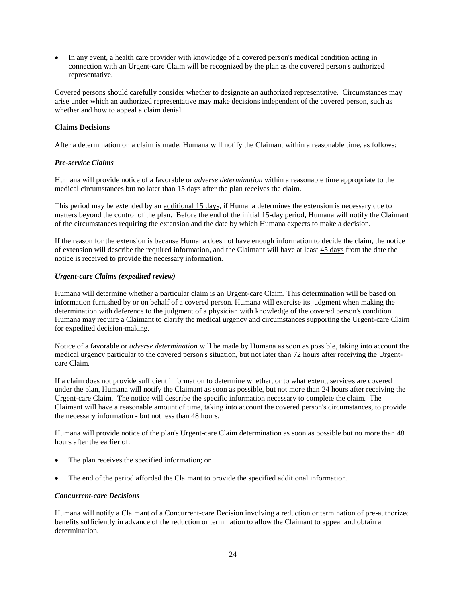In any event, a health care provider with knowledge of a covered person's medical condition acting in connection with an Urgent-care Claim will be recognized by the plan as the covered person's authorized representative.

Covered persons should carefully consider whether to designate an authorized representative. Circumstances may arise under which an authorized representative may make decisions independent of the covered person, such as whether and how to appeal a claim denial.

### **Claims Decisions**

After a determination on a claim is made, Humana will notify the Claimant within a reasonable time, as follows:

### *Pre-service Claims*

Humana will provide notice of a favorable or *adverse determination* within a reasonable time appropriate to the medical circumstances but no later than 15 days after the plan receives the claim.

This period may be extended by an additional 15 days, if Humana determines the extension is necessary due to matters beyond the control of the plan. Before the end of the initial 15-day period, Humana will notify the Claimant of the circumstances requiring the extension and the date by which Humana expects to make a decision.

If the reason for the extension is because Humana does not have enough information to decide the claim, the notice of extension will describe the required information, and the Claimant will have at least 45 days from the date the notice is received to provide the necessary information.

### *Urgent-care Claims (expedited review)*

Humana will determine whether a particular claim is an Urgent-care Claim. This determination will be based on information furnished by or on behalf of a covered person. Humana will exercise its judgment when making the determination with deference to the judgment of a physician with knowledge of the covered person's condition. Humana may require a Claimant to clarify the medical urgency and circumstances supporting the Urgent-care Claim for expedited decision-making.

Notice of a favorable or *adverse determination* will be made by Humana as soon as possible, taking into account the medical urgency particular to the covered person's situation, but not later than 72 hours after receiving the Urgentcare Claim.

If a claim does not provide sufficient information to determine whether, or to what extent, services are covered under the plan, Humana will notify the Claimant as soon as possible, but not more than 24 hours after receiving the Urgent-care Claim. The notice will describe the specific information necessary to complete the claim. The Claimant will have a reasonable amount of time, taking into account the covered person's circumstances, to provide the necessary information - but not less than 48 hours.

Humana will provide notice of the plan's Urgent-care Claim determination as soon as possible but no more than 48 hours after the earlier of:

- The plan receives the specified information; or
- The end of the period afforded the Claimant to provide the specified additional information.

### *Concurrent-care Decisions*

Humana will notify a Claimant of a Concurrent-care Decision involving a reduction or termination of pre-authorized benefits sufficiently in advance of the reduction or termination to allow the Claimant to appeal and obtain a determination.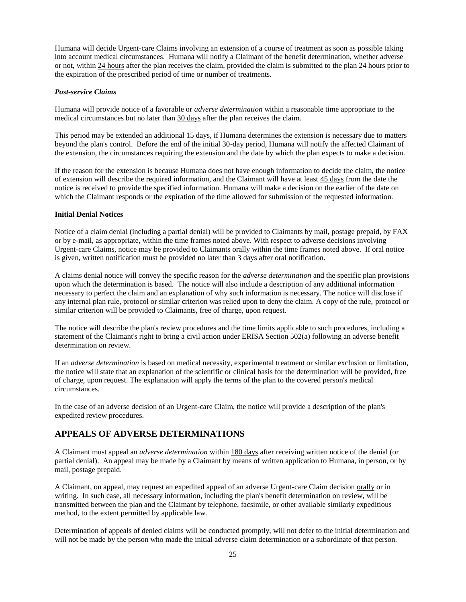Humana will decide Urgent-care Claims involving an extension of a course of treatment as soon as possible taking into account medical circumstances. Humana will notify a Claimant of the benefit determination, whether adverse or not, within 24 hours after the plan receives the claim, provided the claim is submitted to the plan 24 hours prior to the expiration of the prescribed period of time or number of treatments.

### *Post-service Claims*

Humana will provide notice of a favorable or *adverse determination* within a reasonable time appropriate to the medical circumstances but no later than 30 days after the plan receives the claim.

This period may be extended an additional 15 days, if Humana determines the extension is necessary due to matters beyond the plan's control. Before the end of the initial 30-day period, Humana will notify the affected Claimant of the extension, the circumstances requiring the extension and the date by which the plan expects to make a decision.

If the reason for the extension is because Humana does not have enough information to decide the claim, the notice of extension will describe the required information, and the Claimant will have at least 45 days from the date the notice is received to provide the specified information. Humana will make a decision on the earlier of the date on which the Claimant responds or the expiration of the time allowed for submission of the requested information.

#### **Initial Denial Notices**

Notice of a claim denial (including a partial denial) will be provided to Claimants by mail, postage prepaid, by FAX or by e-mail, as appropriate, within the time frames noted above. With respect to adverse decisions involving Urgent-care Claims, notice may be provided to Claimants orally within the time frames noted above. If oral notice is given, written notification must be provided no later than 3 days after oral notification.

A claims denial notice will convey the specific reason for the *adverse determination* and the specific plan provisions upon which the determination is based. The notice will also include a description of any additional information necessary to perfect the claim and an explanation of why such information is necessary. The notice will disclose if any internal plan rule, protocol or similar criterion was relied upon to deny the claim. A copy of the rule, protocol or similar criterion will be provided to Claimants, free of charge, upon request.

The notice will describe the plan's review procedures and the time limits applicable to such procedures, including a statement of the Claimant's right to bring a civil action under ERISA Section 502(a) following an adverse benefit determination on review.

If an *adverse determination* is based on medical necessity, experimental treatment or similar exclusion or limitation, the notice will state that an explanation of the scientific or clinical basis for the determination will be provided, free of charge, upon request. The explanation will apply the terms of the plan to the covered person's medical circumstances.

In the case of an adverse decision of an Urgent-care Claim, the notice will provide a description of the plan's expedited review procedures.

# **APPEALS OF ADVERSE DETERMINATIONS**

A Claimant must appeal an *adverse determination* within 180 days after receiving written notice of the denial (or partial denial). An appeal may be made by a Claimant by means of written application to Humana, in person, or by mail, postage prepaid.

A Claimant, on appeal, may request an expedited appeal of an adverse Urgent-care Claim decision orally or in writing. In such case, all necessary information, including the plan's benefit determination on review, will be transmitted between the plan and the Claimant by telephone, facsimile, or other available similarly expeditious method, to the extent permitted by applicable law.

Determination of appeals of denied claims will be conducted promptly, will not defer to the initial determination and will not be made by the person who made the initial adverse claim determination or a subordinate of that person.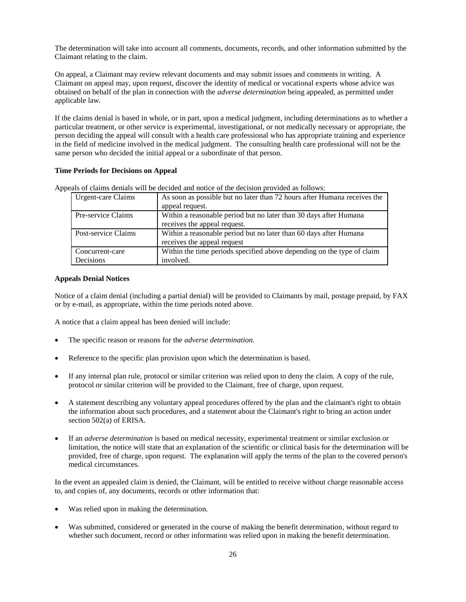The determination will take into account all comments, documents, records, and other information submitted by the Claimant relating to the claim.

On appeal, a Claimant may review relevant documents and may submit issues and comments in writing. A Claimant on appeal may, upon request, discover the identity of medical or vocational experts whose advice was obtained on behalf of the plan in connection with the *adverse determination* being appealed, as permitted under applicable law.

If the claims denial is based in whole, or in part, upon a medical judgment, including determinations as to whether a particular treatment, or other service is experimental, investigational, or not medically necessary or appropriate, the person deciding the appeal will consult with a health care professional who has appropriate training and experience in the field of medicine involved in the medical judgment. The consulting health care professional will not be the same person who decided the initial appeal or a subordinate of that person.

#### **Time Periods for Decisions on Appeal**

| als of clumb demais will be decided and holler of the decision provided as follows. |                                                                          |  |
|-------------------------------------------------------------------------------------|--------------------------------------------------------------------------|--|
| Urgent-care Claims                                                                  | As soon as possible but no later than 72 hours after Humana receives the |  |
|                                                                                     | appeal request.                                                          |  |
| Pre-service Claims                                                                  | Within a reasonable period but no later than 30 days after Humana        |  |
|                                                                                     | receives the appeal request.                                             |  |
| Post-service Claims                                                                 | Within a reasonable period but no later than 60 days after Humana        |  |
|                                                                                     | receives the appeal request                                              |  |
| Concurrent-care                                                                     | Within the time periods specified above depending on the type of claim   |  |
| Decisions                                                                           | involved.                                                                |  |

Appeals of claims denials will be decided and notice of the decision provided as follows:

#### **Appeals Denial Notices**

Notice of a claim denial (including a partial denial) will be provided to Claimants by mail, postage prepaid, by FAX or by e-mail, as appropriate, within the time periods noted above.

A notice that a claim appeal has been denied will include:

- The specific reason or reasons for the *adverse determination.*
- Reference to the specific plan provision upon which the determination is based.
- If any internal plan rule, protocol or similar criterion was relied upon to deny the claim. A copy of the rule, protocol or similar criterion will be provided to the Claimant, free of charge, upon request.
- A statement describing any voluntary appeal procedures offered by the plan and the claimant's right to obtain the information about such procedures, and a statement about the Claimant's right to bring an action under section 502(a) of ERISA.
- If an *adverse determination* is based on medical necessity, experimental treatment or similar exclusion or limitation, the notice will state that an explanation of the scientific or clinical basis for the determination will be provided, free of charge, upon request. The explanation will apply the terms of the plan to the covered person's medical circumstances.

In the event an appealed claim is denied, the Claimant, will be entitled to receive without charge reasonable access to, and copies of, any documents, records or other information that:

- Was relied upon in making the determination.
- Was submitted, considered or generated in the course of making the benefit determination, without regard to whether such document, record or other information was relied upon in making the benefit determination.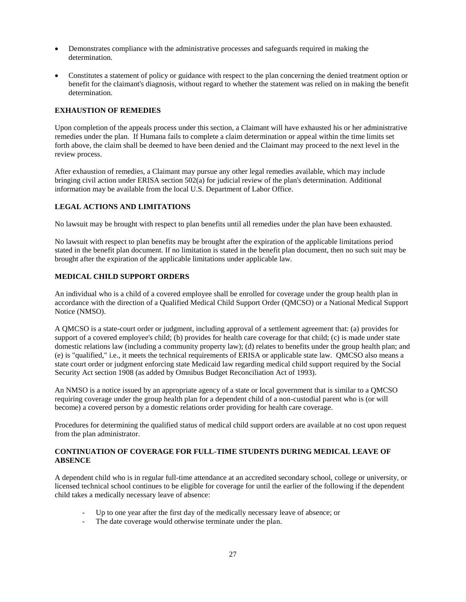- Demonstrates compliance with the administrative processes and safeguards required in making the determination.
- Constitutes a statement of policy or guidance with respect to the plan concerning the denied treatment option or benefit for the claimant's diagnosis, without regard to whether the statement was relied on in making the benefit determination.

### **EXHAUSTION OF REMEDIES**

Upon completion of the appeals process under this section, a Claimant will have exhausted his or her administrative remedies under the plan. If Humana fails to complete a claim determination or appeal within the time limits set forth above, the claim shall be deemed to have been denied and the Claimant may proceed to the next level in the review process.

After exhaustion of remedies, a Claimant may pursue any other legal remedies available, which may include bringing civil action under ERISA section 502(a) for judicial review of the plan's determination. Additional information may be available from the local U.S. Department of Labor Office.

### **LEGAL ACTIONS AND LIMITATIONS**

No lawsuit may be brought with respect to plan benefits until all remedies under the plan have been exhausted.

No lawsuit with respect to plan benefits may be brought after the expiration of the applicable limitations period stated in the benefit plan document. If no limitation is stated in the benefit plan document, then no such suit may be brought after the expiration of the applicable limitations under applicable law.

### **MEDICAL CHILD SUPPORT ORDERS**

An individual who is a child of a covered employee shall be enrolled for coverage under the group health plan in accordance with the direction of a Qualified Medical Child Support Order (QMCSO) or a National Medical Support Notice (NMSO).

A QMCSO is a state-court order or judgment, including approval of a settlement agreement that: (a) provides for support of a covered employee's child; (b) provides for health care coverage for that child; (c) is made under state domestic relations law (including a community property law); (d) relates to benefits under the group health plan; and (e) is "qualified," i.e., it meets the technical requirements of ERISA or applicable state law. QMCSO also means a state court order or judgment enforcing state Medicaid law regarding medical child support required by the Social Security Act section 1908 (as added by Omnibus Budget Reconciliation Act of 1993).

An NMSO is a notice issued by an appropriate agency of a state or local government that is similar to a QMCSO requiring coverage under the group health plan for a dependent child of a non-custodial parent who is (or will become) a covered person by a domestic relations order providing for health care coverage.

Procedures for determining the qualified status of medical child support orders are available at no cost upon request from the plan administrator.

# **CONTINUATION OF COVERAGE FOR FULL-TIME STUDENTS DURING MEDICAL LEAVE OF ABSENCE**

A dependent child who is in regular full-time attendance at an accredited secondary school, college or university, or licensed technical school continues to be eligible for coverage for until the earlier of the following if the dependent child takes a medically necessary leave of absence:

- Up to one year after the first day of the medically necessary leave of absence; or
- The date coverage would otherwise terminate under the plan.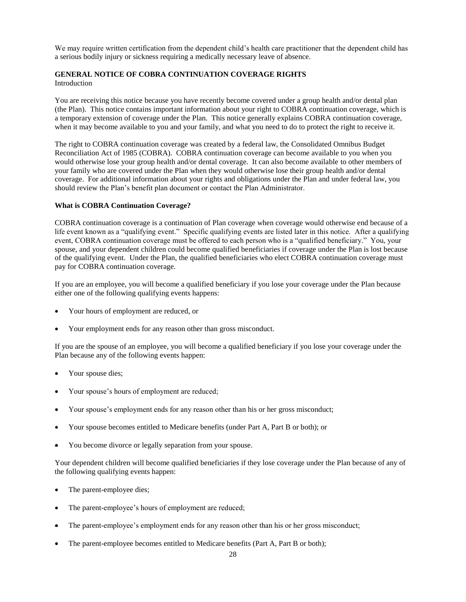We may require written certification from the dependent child's health care practitioner that the dependent child has a serious bodily injury or sickness requiring a medically necessary leave of absence.

#### **GENERAL NOTICE OF COBRA CONTINUATION COVERAGE RIGHTS**  Introduction

You are receiving this notice because you have recently become covered under a group health and/or dental plan (the Plan). This notice contains important information about your right to COBRA continuation coverage, which is a temporary extension of coverage under the Plan. This notice generally explains COBRA continuation coverage, when it may become available to you and your family, and what you need to do to protect the right to receive it.

The right to COBRA continuation coverage was created by a federal law, the Consolidated Omnibus Budget Reconciliation Act of 1985 (COBRA). COBRA continuation coverage can become available to you when you would otherwise lose your group health and/or dental coverage. It can also become available to other members of your family who are covered under the Plan when they would otherwise lose their group health and/or dental coverage. For additional information about your rights and obligations under the Plan and under federal law, you should review the Plan's benefit plan document or contact the Plan Administrator.

### **What is COBRA Continuation Coverage?**

COBRA continuation coverage is a continuation of Plan coverage when coverage would otherwise end because of a life event known as a "qualifying event." Specific qualifying events are listed later in this notice. After a qualifying event, COBRA continuation coverage must be offered to each person who is a "qualified beneficiary." You, your spouse, and your dependent children could become qualified beneficiaries if coverage under the Plan is lost because of the qualifying event. Under the Plan, the qualified beneficiaries who elect COBRA continuation coverage must pay for COBRA continuation coverage.

If you are an employee, you will become a qualified beneficiary if you lose your coverage under the Plan because either one of the following qualifying events happens:

- Your hours of employment are reduced, or
- Your employment ends for any reason other than gross misconduct.

If you are the spouse of an employee, you will become a qualified beneficiary if you lose your coverage under the Plan because any of the following events happen:

- Your spouse dies;
- Your spouse's hours of employment are reduced;
- Your spouse's employment ends for any reason other than his or her gross misconduct;
- Your spouse becomes entitled to Medicare benefits (under Part A, Part B or both); or
- You become divorce or legally separation from your spouse.

Your dependent children will become qualified beneficiaries if they lose coverage under the Plan because of any of the following qualifying events happen:

- The parent-employee dies;
- The parent-employee's hours of employment are reduced;
- The parent-employee's employment ends for any reason other than his or her gross misconduct;
- The parent-employee becomes entitled to Medicare benefits (Part A, Part B or both);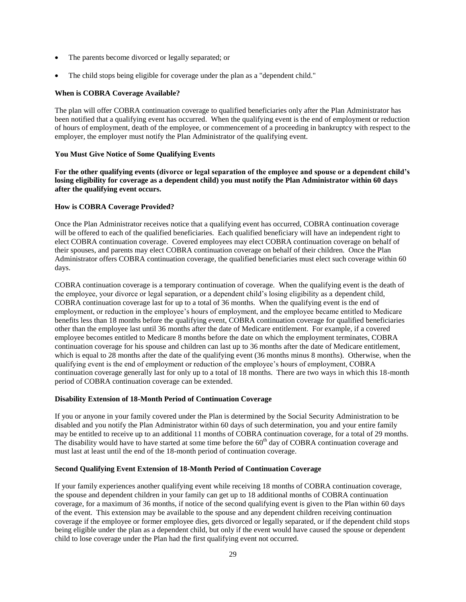- The parents become divorced or legally separated; or
- The child stops being eligible for coverage under the plan as a "dependent child."

### **When is COBRA Coverage Available?**

The plan will offer COBRA continuation coverage to qualified beneficiaries only after the Plan Administrator has been notified that a qualifying event has occurred. When the qualifying event is the end of employment or reduction of hours of employment, death of the employee, or commencement of a proceeding in bankruptcy with respect to the employer, the employer must notify the Plan Administrator of the qualifying event.

### **You Must Give Notice of Some Qualifying Events**

**For the other qualifying events (divorce or legal separation of the employee and spouse or a dependent child's losing eligibility for coverage as a dependent child) you must notify the Plan Administrator within 60 days after the qualifying event occurs.**

### **How is COBRA Coverage Provided?**

Once the Plan Administrator receives notice that a qualifying event has occurred, COBRA continuation coverage will be offered to each of the qualified beneficiaries. Each qualified beneficiary will have an independent right to elect COBRA continuation coverage. Covered employees may elect COBRA continuation coverage on behalf of their spouses, and parents may elect COBRA continuation coverage on behalf of their children. Once the Plan Administrator offers COBRA continuation coverage, the qualified beneficiaries must elect such coverage within 60 days.

COBRA continuation coverage is a temporary continuation of coverage. When the qualifying event is the death of the employee, your divorce or legal separation, or a dependent child's losing eligibility as a dependent child, COBRA continuation coverage last for up to a total of 36 months. When the qualifying event is the end of employment, or reduction in the employee's hours of employment, and the employee became entitled to Medicare benefits less than 18 months before the qualifying event, COBRA continuation coverage for qualified beneficiaries other than the employee last until 36 months after the date of Medicare entitlement. For example, if a covered employee becomes entitled to Medicare 8 months before the date on which the employment terminates, COBRA continuation coverage for his spouse and children can last up to 36 months after the date of Medicare entitlement, which is equal to 28 months after the date of the qualifying event (36 months minus 8 months). Otherwise, when the qualifying event is the end of employment or reduction of the employee's hours of employment, COBRA continuation coverage generally last for only up to a total of 18 months. There are two ways in which this 18-month period of COBRA continuation coverage can be extended.

### **Disability Extension of 18-Month Period of Continuation Coverage**

If you or anyone in your family covered under the Plan is determined by the Social Security Administration to be disabled and you notify the Plan Administrator within 60 days of such determination, you and your entire family may be entitled to receive up to an additional 11 months of COBRA continuation coverage, for a total of 29 months. The disability would have to have started at some time before the  $60<sup>th</sup>$  day of COBRA continuation coverage and must last at least until the end of the 18-month period of continuation coverage.

### **Second Qualifying Event Extension of 18-Month Period of Continuation Coverage**

If your family experiences another qualifying event while receiving 18 months of COBRA continuation coverage, the spouse and dependent children in your family can get up to 18 additional months of COBRA continuation coverage, for a maximum of 36 months, if notice of the second qualifying event is given to the Plan within 60 days of the event. This extension may be available to the spouse and any dependent children receiving continuation coverage if the employee or former employee dies, gets divorced or legally separated, or if the dependent child stops being eligible under the plan as a dependent child, but only if the event would have caused the spouse or dependent child to lose coverage under the Plan had the first qualifying event not occurred.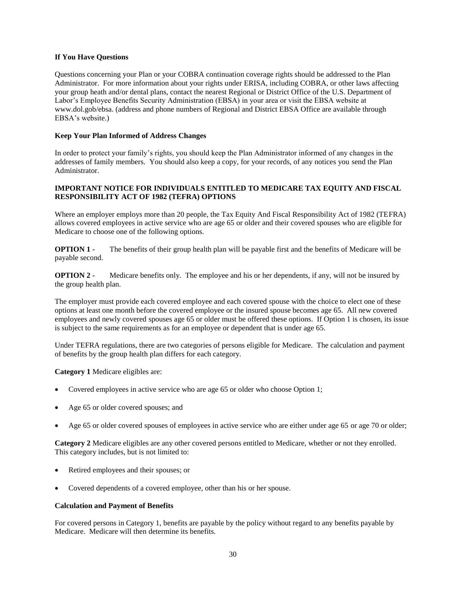# **If You Have Questions**

Questions concerning your Plan or your COBRA continuation coverage rights should be addressed to the Plan Administrator. For more information about your rights under ERISA, including COBRA, or other laws affecting your group heath and/or dental plans, contact the nearest Regional or District Office of the U.S. Department of Labor's Employee Benefits Security Administration (EBSA) in your area or visit the EBSA website at www.dol.gob/ebsa. (address and phone numbers of Regional and District EBSA Office are available through EBSA's website.)

### **Keep Your Plan Informed of Address Changes**

In order to protect your family's rights, you should keep the Plan Administrator informed of any changes in the addresses of family members. You should also keep a copy, for your records, of any notices you send the Plan Administrator.

# **IMPORTANT NOTICE FOR INDIVIDUALS ENTITLED TO MEDICARE TAX EQUITY AND FISCAL RESPONSIBILITY ACT OF 1982 (TEFRA) OPTIONS**

Where an employer employs more than 20 people, the Tax Equity And Fiscal Responsibility Act of 1982 (TEFRA) allows covered employees in active service who are age 65 or older and their covered spouses who are eligible for Medicare to choose one of the following options.

**OPTION 1** - The benefits of their group health plan will be payable first and the benefits of Medicare will be payable second.

**OPTION 2** - Medicare benefits only. The employee and his or her dependents, if any, will not be insured by the group health plan.

The employer must provide each covered employee and each covered spouse with the choice to elect one of these options at least one month before the covered employee or the insured spouse becomes age 65. All new covered employees and newly covered spouses age 65 or older must be offered these options. If Option 1 is chosen, its issue is subject to the same requirements as for an employee or dependent that is under age 65.

Under TEFRA regulations, there are two categories of persons eligible for Medicare. The calculation and payment of benefits by the group health plan differs for each category.

**Category 1** Medicare eligibles are:

- Covered employees in active service who are age 65 or older who choose Option 1;
- Age 65 or older covered spouses; and
- Age 65 or older covered spouses of employees in active service who are either under age 65 or age 70 or older;

**Category 2** Medicare eligibles are any other covered persons entitled to Medicare, whether or not they enrolled. This category includes, but is not limited to:

- Retired employees and their spouses; or
- Covered dependents of a covered employee, other than his or her spouse.

### **Calculation and Payment of Benefits**

For covered persons in Category 1, benefits are payable by the policy without regard to any benefits payable by Medicare. Medicare will then determine its benefits.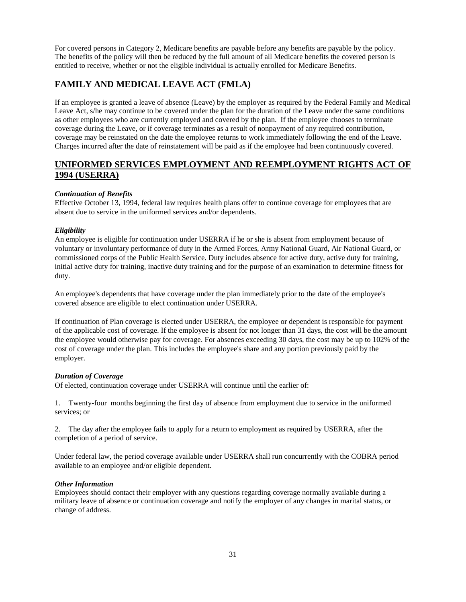For covered persons in Category 2, Medicare benefits are payable before any benefits are payable by the policy. The benefits of the policy will then be reduced by the full amount of all Medicare benefits the covered person is entitled to receive, whether or not the eligible individual is actually enrolled for Medicare Benefits.

# **FAMILY AND MEDICAL LEAVE ACT (FMLA)**

If an employee is granted a leave of absence (Leave) by the employer as required by the Federal Family and Medical Leave Act, s/he may continue to be covered under the plan for the duration of the Leave under the same conditions as other employees who are currently employed and covered by the plan. If the employee chooses to terminate coverage during the Leave, or if coverage terminates as a result of nonpayment of any required contribution, coverage may be reinstated on the date the employee returns to work immediately following the end of the Leave. Charges incurred after the date of reinstatement will be paid as if the employee had been continuously covered.

# **UNIFORMED SERVICES EMPLOYMENT AND REEMPLOYMENT RIGHTS ACT OF 1994 (USERRA)**

# *Continuation of Benefits*

Effective October 13, 1994, federal law requires health plans offer to continue coverage for employees that are absent due to service in the uniformed services and/or dependents.

# *Eligibility*

An employee is eligible for continuation under USERRA if he or she is absent from employment because of voluntary or involuntary performance of duty in the Armed Forces, Army National Guard, Air National Guard, or commissioned corps of the Public Health Service. Duty includes absence for active duty, active duty for training, initial active duty for training, inactive duty training and for the purpose of an examination to determine fitness for duty.

An employee's dependents that have coverage under the plan immediately prior to the date of the employee's covered absence are eligible to elect continuation under USERRA.

If continuation of Plan coverage is elected under USERRA, the employee or dependent is responsible for payment of the applicable cost of coverage. If the employee is absent for not longer than 31 days, the cost will be the amount the employee would otherwise pay for coverage. For absences exceeding 30 days, the cost may be up to 102% of the cost of coverage under the plan. This includes the employee's share and any portion previously paid by the employer.

# *Duration of Coverage*

Of elected, continuation coverage under USERRA will continue until the earlier of:

1. Twenty-four months beginning the first day of absence from employment due to service in the uniformed services; or

2. The day after the employee fails to apply for a return to employment as required by USERRA, after the completion of a period of service.

Under federal law, the period coverage available under USERRA shall run concurrently with the COBRA period available to an employee and/or eligible dependent.

# *Other Information*

Employees should contact their employer with any questions regarding coverage normally available during a military leave of absence or continuation coverage and notify the employer of any changes in marital status, or change of address.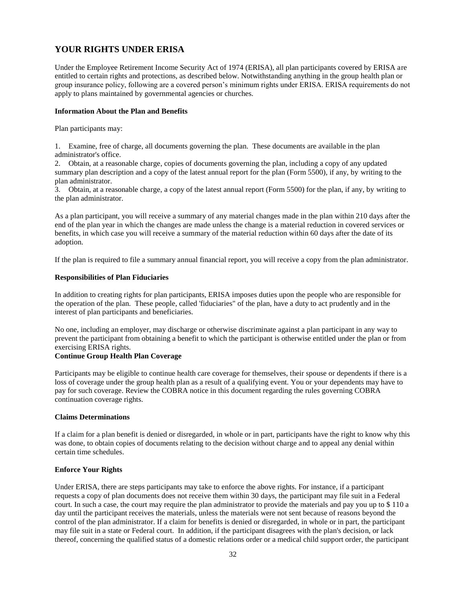# **YOUR RIGHTS UNDER ERISA**

Under the Employee Retirement Income Security Act of 1974 (ERISA), all plan participants covered by ERISA are entitled to certain rights and protections, as described below. Notwithstanding anything in the group health plan or group insurance policy, following are a covered person's minimum rights under ERISA. ERISA requirements do not apply to plans maintained by governmental agencies or churches.

#### **Information About the Plan and Benefits**

Plan participants may:

1. Examine, free of charge, all documents governing the plan. These documents are available in the plan administrator's office.

2. Obtain, at a reasonable charge, copies of documents governing the plan, including a copy of any updated summary plan description and a copy of the latest annual report for the plan (Form 5500), if any, by writing to the plan administrator.

3. Obtain, at a reasonable charge, a copy of the latest annual report (Form 5500) for the plan, if any, by writing to the plan administrator.

As a plan participant, you will receive a summary of any material changes made in the plan within 210 days after the end of the plan year in which the changes are made unless the change is a material reduction in covered services or benefits, in which case you will receive a summary of the material reduction within 60 days after the date of its adoption.

If the plan is required to file a summary annual financial report, you will receive a copy from the plan administrator.

### **Responsibilities of Plan Fiduciaries**

In addition to creating rights for plan participants, ERISA imposes duties upon the people who are responsible for the operation of the plan. These people, called 'fiduciaries" of the plan, have a duty to act prudently and in the interest of plan participants and beneficiaries.

No one, including an employer, may discharge or otherwise discriminate against a plan participant in any way to prevent the participant from obtaining a benefit to which the participant is otherwise entitled under the plan or from exercising ERISA rights.

# **Continue Group Health Plan Coverage**

Participants may be eligible to continue health care coverage for themselves, their spouse or dependents if there is a loss of coverage under the group health plan as a result of a qualifying event. You or your dependents may have to pay for such coverage. Review the COBRA notice in this document regarding the rules governing COBRA continuation coverage rights.

#### **Claims Determinations**

If a claim for a plan benefit is denied or disregarded, in whole or in part, participants have the right to know why this was done, to obtain copies of documents relating to the decision without charge and to appeal any denial within certain time schedules.

### **Enforce Your Rights**

Under ERISA, there are steps participants may take to enforce the above rights. For instance, if a participant requests a copy of plan documents does not receive them within 30 days, the participant may file suit in a Federal court. In such a case, the court may require the plan administrator to provide the materials and pay you up to \$ 110 a day until the participant receives the materials, unless the materials were not sent because of reasons beyond the control of the plan administrator. If a claim for benefits is denied or disregarded, in whole or in part, the participant may file suit in a state or Federal court. In addition, if the participant disagrees with the plan's decision, or lack thereof, concerning the qualified status of a domestic relations order or a medical child support order, the participant